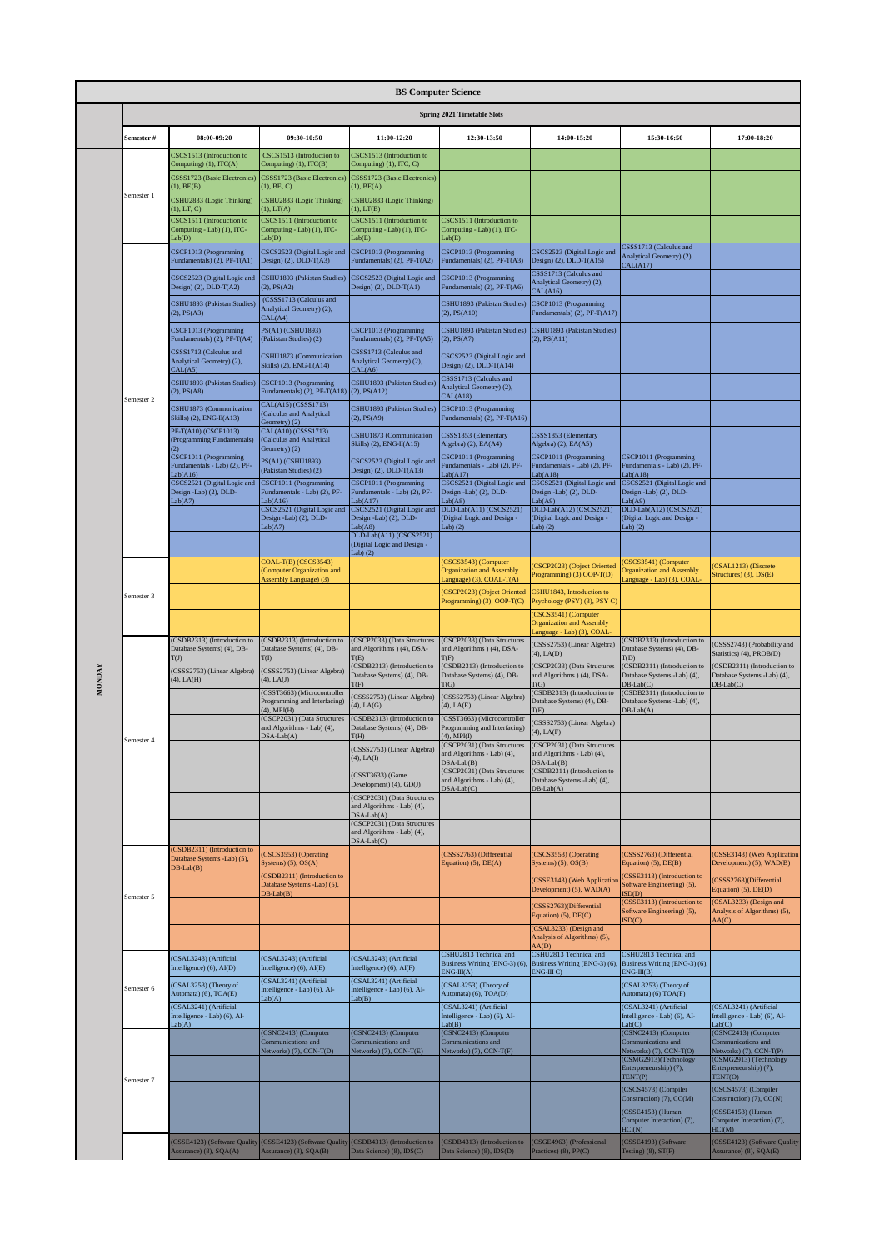|            |                                                                                |                                                                                      | <b>BS Computer Science</b>                                                             |                                                                                     |                                                                             |                                                                                      |                                                                             |
|------------|--------------------------------------------------------------------------------|--------------------------------------------------------------------------------------|----------------------------------------------------------------------------------------|-------------------------------------------------------------------------------------|-----------------------------------------------------------------------------|--------------------------------------------------------------------------------------|-----------------------------------------------------------------------------|
|            |                                                                                |                                                                                      |                                                                                        | Spring 2021 Timetable Slots                                                         |                                                                             |                                                                                      |                                                                             |
| Semester # | 08:00-09:20                                                                    | 09:30-10:50                                                                          | 11:00-12:20                                                                            | 12:30-13:50                                                                         | 14:00-15:20                                                                 | 15:30-16:50                                                                          | 17:00-18:20                                                                 |
|            | CSCS1513 (Introduction to<br>Computing) (1), ITC(A)                            | CSCS1513 (Introduction to<br>Computing) $(1)$ , $\text{ITC}(\text{B})$               | CSCS1513 (Introduction to<br>Computing) (1), ITC, C)                                   |                                                                                     |                                                                             |                                                                                      |                                                                             |
|            | CSSS1723 (Basic Electronics<br>$1)$ , $BE(B)$                                  | CSSS1723 (Basic Electronics)<br>$1)$ , BE, C)                                        | CSSS1723 (Basic Electronics)<br>(1), BE(A)                                             |                                                                                     |                                                                             |                                                                                      |                                                                             |
| Semester 1 | CSHU2833 (Logic Thinking)<br>$(1)$ , LT, C)                                    | CSHU2833 (Logic Thinking)<br>(1), LT(A)                                              | CSHU2833 (Logic Thinking)<br>(1), LT(B)                                                |                                                                                     |                                                                             |                                                                                      |                                                                             |
|            | CSCS1511 (Introduction to<br>Computing - Lab) (1), ITC-                        | CSCS1511 (Introduction to<br>Computing - Lab) (1), ITC-                              | CSCS1511 (Introduction to<br>Computing - Lab) (1), ITC-                                | CSCS1511 (Introduction to<br>Computing - Lab) (1), ITC-                             |                                                                             |                                                                                      |                                                                             |
|            | ab(D)<br>CSCP1013 (Programming                                                 | Lab(D)<br>CSCS2523 (Digital Logic and<br>Design) $(2)$ , DLD-T $(A3)$                | Lab(E)<br>CSCP1013 (Programming<br>Fundamentals) (2), PF-T(A2)                         | Lab(E)<br>CSCP1013 (Programming                                                     | CSCS2523 (Digital Logic and<br>Design) $(2)$ , DLD-T $(A15)$                | CSSS1713 (Calculus and<br>Analytical Geometry) (2),                                  |                                                                             |
|            | Fundamentals) (2), PF-T(A1)<br>CSCS2523 (Digital Logic and                     | CSHU1893 (Pakistan Studies)                                                          | CSCS2523 (Digital Logic and                                                            | Fundamentals) (2), PF-T(A3)<br>CSCP1013 (Programming                                | CSSS1713 (Calculus and<br>Analytical Geometry) (2),                         | CAL(A17)                                                                             |                                                                             |
|            | Design) $(2)$ , DLD-T $(A2)$<br>CSHU1893 (Pakistan Studies)                    | $(2)$ , $PS(A2)$<br>(CSSS1713 (Calculus and                                          | Design) $(2)$ , DLD-T $(A1)$                                                           | Fundamentals) (2), PF-T(A6)<br>CSHU1893 (Pakistan Studies)                          | CAL(A16)<br>CSCP1013 (Programming                                           |                                                                                      |                                                                             |
|            | (2), PS(A3)                                                                    | Analytical Geometry) (2),<br>CAL(A4)                                                 |                                                                                        | $(2)$ , PS $(A10)$                                                                  | Fundamentals) (2), PF-T(A17)<br>CSHU1893 (Pakistan Studies)                 |                                                                                      |                                                                             |
|            | CSCP1013 (Programming<br>Fundamentals) (2), PF-T(A4)<br>CSSS1713 (Calculus and | PS(A1) (CSHU1893)<br>(Pakistan Studies) (2)                                          | CSCP1013 (Programming<br>Fundamentals) (2), PF-T(A5)<br>CSSS1713 (Calculus and         | CSHU1893 (Pakistan Studies)<br>(2), PS(A7)                                          | $(2)$ , PS $(A11)$                                                          |                                                                                      |                                                                             |
|            | Analytical Geometry) (2),<br>CAL(A5)                                           | CSHU1873 (Communication<br>Skills) (2), ENG-II(A14)                                  | Analytical Geometry) (2),<br>CAL(A6)                                                   | CSCS2523 (Digital Logic and<br>Design) $(2)$ , DLD-T $(A14)$                        |                                                                             |                                                                                      |                                                                             |
|            | CSHU1893 (Pakistan Studies)<br>$(2)$ , PS $(A8)$                               | CSCP1013 (Programming<br>Fundamentals) (2), PF-T(A18)                                | CSHU1893 (Pakistan Studies)<br>$(2)$ , PS $(A12)$                                      | CSSS1713 (Calculus and<br>Analytical Geometry) (2),<br>CAL(A18)                     |                                                                             |                                                                                      |                                                                             |
| Semester 2 | CSHU1873 (Communication<br>Skills) $(2)$ , ENG-II(A13)                         | CAL(A15) (CSSS1713)<br>(Calculus and Analytical                                      | CSHU1893 (Pakistan Studies)<br>$(2)$ , PS $(A9)$                                       | CSCP1013 (Programming<br>Fundamentals) (2), PF-T(A16)                               |                                                                             |                                                                                      |                                                                             |
|            | PF-T(A10) (CSCP1013)<br>(Programming Fundamentals)                             | Geometry) (2)<br>CAL(A10) (CSSS1713)<br>(Calculus and Analytical                     | CSHU1873 (Communication<br>Skills) (2), ENG-II(A15)                                    | CSSS1853 (Elementary<br>Algebra) (2), EA(A4)                                        | CSSS1853 (Elementary<br>Algebra) (2), EA(A5)                                |                                                                                      |                                                                             |
|            | CSCP1011 (Programming<br>fundamentals - Lab) (2), PF-                          | Geometry) (2)<br>PS(A1) (CSHU1893)                                                   | CSCS2523 (Digital Logic and                                                            | CSCP1011 (Programming<br>Fundamentals - Lab) (2), PF-                               | CSCP1011 (Programming<br>Fundamentals - Lab) (2), PF-                       | CSCP1011 (Programming<br>Fundamentals - Lab) (2), PF-                                |                                                                             |
|            | ab(A16)<br>CSCS2521 (Digital Logic and                                         | (Pakistan Studies) (2)<br>CSCP1011 (Programming                                      | Design) $(2)$ , DLD-T $(A13)$<br>CSCP1011 (Programming<br>Fundamentals - Lab) (2), PF- | Lab(A17)<br>CSCS2521 (Digital Logic and                                             | Lab(418)<br>CSCS2521 (Digital Logic and                                     | Lab(418)<br>CSCS2521 (Digital Logic and                                              |                                                                             |
|            | Design -Lab) (2), DLD-<br>ab(A7)                                               | Fundamentals - Lab) (2), PF-<br>Lab(Al6)<br>CSCS2521 (Digital Logic and              | Lab(A17)<br>CSCS2521 (Digital Logic and                                                | Design -Lab) (2), DLD-<br>Lab(48)<br>DLD-Lab(A11) (CSCS2521)                        | Design -Lab) (2), DLD-<br>Lab(A9)<br>DLD-Lab(A12) (CSCS2521)                | Design -Lab) (2), DLD-<br>Lab(A9)<br>DLD-Lab(A12) (CSCS2521)                         |                                                                             |
|            |                                                                                | Design -Lab) (2), DLD-<br>Lab(A7)                                                    | Design -Lab) (2), DLD-<br>Lab(48)<br>DLD-Lab(A11) (CSCS2521)                           | (Digital Logic and Design -<br>$(ab)$ $(2)$                                         | (Digital Logic and Design -<br>Lab(2)                                       | (Digital Logic and Design -<br>Lab) $(2)$                                            |                                                                             |
|            |                                                                                |                                                                                      | (Digital Logic and Design -<br>Lab) $(2)$                                              |                                                                                     |                                                                             |                                                                                      |                                                                             |
|            |                                                                                | COAL-T(B) (CSCS3543)<br>(Computer Organization and<br><b>Assembly Language</b> ) (3) |                                                                                        | (CSCS3543) (Computer<br><b>Organization and Assembly</b><br>anguage) (3), COAL-T(A) | CSCP2023) (Object Oriented<br>Programming) (3), OOP-T(D)                    | (CSCS3541) (Computer<br><b>Organization and Assembly</b><br>anguage - Lab) (3), COAL | CSAL1213) (Discrete<br>Structures) (3), DS(E)                               |
| Semester 3 |                                                                                |                                                                                      |                                                                                        | CSCP2023) (Object Oriented<br>Programming) (3), OOP-T(C)                            | CSHU1843, Introduction to<br>Psychology (PSY) (3), PSY C)                   |                                                                                      |                                                                             |
|            |                                                                                |                                                                                      |                                                                                        |                                                                                     | CSCS3541) (Computer<br><b>Organization and Assembly</b>                     |                                                                                      |                                                                             |
|            | (CSDB2313) (Introduction to<br>Database Systems) (4), DB-                      | (CSDB2313) (Introduction to<br>Database Systems) (4), DB-                            | (CSCP2033) (Data Structures<br>and Algorithms ) (4), DSA-                              | (CSCP2033) (Data Structures<br>and Algorithms ) (4), DSA-                           | anguage - Lab) (3), COAL<br>(CSSS2753) (Linear Algebra)<br>$(4)$ , LA $(D)$ | (CSDB2313) (Introduction to<br>Database Systems) (4), DB-                            | (CSSS2743) (Probability and<br>Statistics) (4), PROB(D)                     |
|            | m.<br>(CSSS2753) (Linear Algebra)<br>$(4)$ , LA $(H)$                          | (CSSS2753) (Linear Algebra)<br>$(4)$ , LA $(J)$                                      | T(E)<br>(CSDB2313) (Introduction to<br>Database Systems) (4), DB-                      | T(F)<br>(CSDB2313) (Introduction to<br>Database Systems) (4), DB-                   | (CSCP2033) (Data Structures<br>and Algorithms ) (4), DSA-                   | T(D)<br>(CSDB2311) (Introduction to<br>Database Systems -Lab) (4),                   | (CSDB2311) (Introduction to<br>Database Systems -Lab) (4),                  |
|            |                                                                                | (CSST3663) (Microcontroller<br>Programming and Interfacing)                          | T <sub>(F)</sub><br>(CSSS2753) (Linear Algebra)                                        | $\Gamma$ (G)<br>(CSSS2753) (Linear Algebra)                                         | <b>T</b> (G)<br>(CSDB2313) (Introduction to<br>Database Systems) (4), DB-   | $DB-Lab(C)$<br>(CSDB2311) (Introduction to<br>Database Systems -Lab) (4),            | $DB-Lab(C)$                                                                 |
|            |                                                                                | $(4)$ , MPI(H)<br>(CSCP2031) (Data Structures                                        | $(4)$ , LA $(G)$<br>(CSDB2313) (Introduction to                                        | $(4)$ , LA $(E)$<br>(CSST3663) (Microcontroller                                     | T(E)<br>(CSSS2753) (Linear Algebra)                                         | $DB-Lab(A)$                                                                          |                                                                             |
| Semester 4 |                                                                                | and Algorithms - Lab) (4),<br>$DSA-Lab(A)$                                           | Database Systems) (4), DB-<br>T(H)                                                     | Programming and Interfacing)<br>$(4)$ , MPI(I)<br>(CSCP2031) (Data Structures       | $(4)$ , LA $(F)$<br>(CSCP2031) (Data Structures                             |                                                                                      |                                                                             |
|            |                                                                                |                                                                                      | (CSSS2753) (Linear Algebra)<br>$(4)$ , LA $(I)$                                        | and Algorithms - Lab) (4),<br>$DSA-Lab(B)$<br>(CSCP2031) (Data Structures           | and Algorithms - Lab) (4),<br>$DSA-Lab(B)$<br>(CSDB2311) (Introduction to   |                                                                                      |                                                                             |
|            |                                                                                |                                                                                      | (CSST3633) (Game<br>Development) (4), GD(J)                                            | and Algorithms - Lab) (4),<br>$DSA-Lab(C)$                                          | Database Systems -Lab) (4),<br>$DB-Lab(A)$                                  |                                                                                      |                                                                             |
|            |                                                                                |                                                                                      | (CSCP2031) (Data Structures<br>and Algorithms - Lab) (4),<br>$DSA-Lab(A)$              |                                                                                     |                                                                             |                                                                                      |                                                                             |
|            |                                                                                |                                                                                      | (CSCP2031) (Data Structures<br>and Algorithms - Lab) (4),                              |                                                                                     |                                                                             |                                                                                      |                                                                             |
|            | CSDB2311) (Introduction to<br>Database Systems -Lab) (5),                      | CSCS3553) (Operating<br>Systems) $(5)$ , OS $(A)$                                    | DSA-Lab(C)                                                                             | CSSS2763) (Differential<br>Equation) (5), DE(A)                                     | CSCS3553) (Operating<br>Systems) $(5)$ , $OS(B)$                            | (CSSS2763) (Differential<br>Equation) (5), DE(B)                                     | (CSSE3143) (Web Application<br>Development) (5), WAD(B)                     |
|            | $DB-Lab(B)$                                                                    | (CSDB2311) (Introduction to<br>Database Systems -Lab) (5),                           |                                                                                        |                                                                                     | (CSSE3143) (Web Applicatio                                                  | (CSSE3113) (Introduction to<br>Software Engineering) (5),                            | (CSSS2763)(Differential                                                     |
| Semester 5 |                                                                                | $DB-Lab(B)$                                                                          |                                                                                        |                                                                                     | Development) (5), WAD(A)<br>(CSSS2763)(Differential                         | SD(D)<br>(CSSE3113) (Introduction to                                                 | Equation) (5), DE(D)<br>(CSAL3233) (Design and                              |
|            |                                                                                |                                                                                      |                                                                                        |                                                                                     | Equation) (5), DE(C)<br>(CSAL3233) (Design and                              | Software Engineering) (5),<br>SD(C)                                                  | Analysis of Algorithms) (5),<br>AA(C)                                       |
|            |                                                                                |                                                                                      |                                                                                        | CSHU2813 Technical and                                                              | Analysis of Algorithms) (5),<br>AA(D)<br>CSHU2813 Technical and             | CSHU2813 Technical and                                                               |                                                                             |
|            | (CSAL3243) (Artificial<br>Intelligence) (6), AI(D)                             | (CSAL3243) (Artificial<br>Intelligence) (6), AI(E)                                   | (CSAL3243) (Artificial<br>Intelligence) (6), AI(F)                                     | Business Writing (ENG-3) (6).<br>$ENG-III(A)$                                       | Business Writing (ENG-3) (6),<br>$ENG-HIC$                                  | Business Writing (ENG-3) (6),<br>$ENG-III(B)$                                        |                                                                             |
| Semester 6 | (CSAL3253) (Theory of<br>Automata) (6), TOA(E)                                 | (CSAL3241) (Artificial<br>Intelligence - Lab) (6), AI-<br>Lab(A)                     | (CSAL3241) (Artificial<br>Intelligence - Lab) (6), AI-<br>Lab(B)                       | (CSAL3253) (Theory of<br>Automata) (6), TOA(D)                                      |                                                                             | (CSAL3253) (Theory of<br>Automata) (6) TOA(F)                                        |                                                                             |
|            | (CSAL3241) (Artificial<br>Intelligence - Lab) (6), AI-<br>ab(A)                |                                                                                      |                                                                                        | (CSAL3241) (Artificial<br>Intelligence - Lab) (6), AI-<br>Lab(B)                    |                                                                             | (CSAL3241) (Artificial<br>Intelligence - Lab) (6), AI-<br>Lab(C)                     | (CSAL3241) (Artificial<br>Intelligence - Lab) (6), Al-<br>Lab(C)            |
|            |                                                                                | (CSNC2413) (Computer<br>Communications and                                           | (CSNC2413) (Computer<br>Communications and                                             | (CSNC2413) (Computer<br>Communications and                                          |                                                                             | (CSNC2413) (Computer<br>Communications and                                           | (CSNC2413) (Computer<br>Communications and                                  |
|            |                                                                                | Vetworks) (7), CCN-T(D)                                                              | Networks) (7), CCN-T(E)                                                                | Networks) (7), CCN-T(F)                                                             |                                                                             | Networks) (7), CCN-T(O)<br>(CSMG2913)(Technology<br>Enterpreneurship) (7),           | Vetworks) (7), CCN-T(P)<br>(CSMG2913) (Technology<br>Enterpreneurship) (7), |
| Semester 7 |                                                                                |                                                                                      |                                                                                        |                                                                                     |                                                                             | TENT(P)<br>(CSCS4573) (Compiler                                                      | TENT(O)<br>(CSCS4573) (Compiler                                             |
|            |                                                                                |                                                                                      |                                                                                        |                                                                                     |                                                                             | Construction) (7), CC(M)<br>(CSSE4153) (Human                                        | Construction) (7), CC(N)<br>(CSSE4153) (Human                               |
|            |                                                                                |                                                                                      |                                                                                        |                                                                                     |                                                                             | Computer Interaction) (7),<br>HCI(N)                                                 | Computer Interaction) (7),<br>HCI(M)                                        |
|            | Assurance) (8), SQA(A)                                                         | (CSSE4123) (Software Quality (CSSE4123) (Software Quality<br>Assurance) (8), SQA(B)  | (CSDB4313) (Introduction to<br>Data Science) (8), IDS(C)                               | (CSDB4313) (Introduction to<br>Data Science) (8), IDS(D)                            | (CSGE4963) (Professional<br>Practices) (8), PP(C)                           | (CSSE4193) (Software<br>Testing) $(8)$ , $ST(F)$                                     | (CSSE4123) (Software Quality<br>Assurance) (8), SQA(E)                      |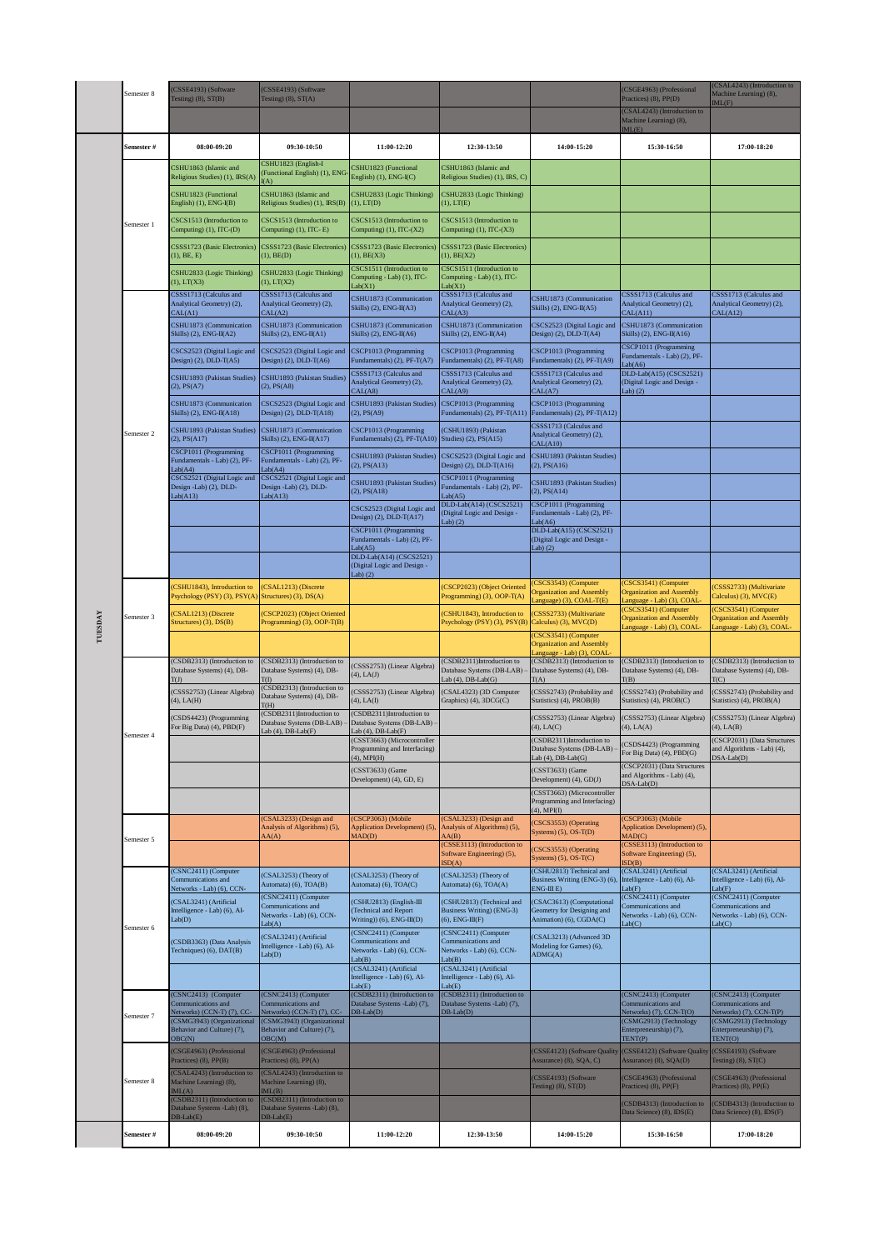|         | Semester 8 | (CSSE4193) (Software<br>Testing) $(8)$ , $ST(B)$                                   | (CSSE4193) (Software<br>Testing) $(8)$ , $ST(A)$                                     |                                                                                    |                                                                                     |                                                                                      | CSGE4963) (Professional<br>Practices) (8), PP(D)                                     | (CSAL4243) (Introduction to<br>Machine Learning) (8),<br>ML(F)                       |
|---------|------------|------------------------------------------------------------------------------------|--------------------------------------------------------------------------------------|------------------------------------------------------------------------------------|-------------------------------------------------------------------------------------|--------------------------------------------------------------------------------------|--------------------------------------------------------------------------------------|--------------------------------------------------------------------------------------|
|         |            |                                                                                    |                                                                                      |                                                                                    |                                                                                     |                                                                                      | (CSAL4243) (Introduction to<br>Machine Learning) (8),<br>ML(E)                       |                                                                                      |
|         | Semester # | 08:00-09:20                                                                        | 09:30-10:50                                                                          | 11:00-12:20                                                                        | 12:30-13:50                                                                         | 14:00-15:20                                                                          | 15:30-16:50                                                                          | 17:00-18:20                                                                          |
|         |            | CSHU1863 (Islamic and<br>Religious Studies) (1), IRS(A)                            | CSHU1823 (English-I<br>Functional English) (1), ENG<br>(A)                           | CSHU1823 (Functional<br>English) (1), ENG-I(C)                                     | CSHU1863 (Islamic and<br>Religious Studies) (1), IRS, C)                            |                                                                                      |                                                                                      |                                                                                      |
|         |            | CSHU1823 (Functional<br>English) (1), ENG-I(B)                                     | CSHU1863 (Islamic and<br>Religious Studies) (1), IRS(B)                              | CSHU2833 (Logic Thinking)<br>$(1)$ , $LT(D)$                                       | CSHU2833 (Logic Thinking)<br>$(1)$ , $LT(E)$                                        |                                                                                      |                                                                                      |                                                                                      |
|         | Semester 1 | CSCS1513 (Introduction to<br>Computing) (1), ITC-(D)                               | CSCS1513 (Introduction to<br>Computing) (1), ITC-E)                                  | CSCS1513 (Introduction to<br>Computing) $(1)$ , ITC- $(X2)$                        | CSCS1513 (Introduction to<br>Computing) $(1)$ , ITC- $(X3)$                         |                                                                                      |                                                                                      |                                                                                      |
|         |            | CSSS1723 (Basic Electronics<br>(1), BE, E)                                         | CSSS1723 (Basic Electronics)<br>(1), BE(D)                                           | CSSS1723 (Basic Electronics)<br>(1), BE(X3)                                        | CSSS1723 (Basic Electronics)<br>$(1)$ , BE $(X2)$                                   |                                                                                      |                                                                                      |                                                                                      |
|         |            | CSHU2833 (Logic Thinking)<br>(1), LT(X3)                                           | CSHU2833 (Logic Thinking)<br>(1), LT(X2)                                             | CSCS1511 (Introduction to<br>Computing - Lab) (1), ITC-<br>Lab(X1)                 | CSCS1511 (Introduction to<br>Computing - Lab) (1), ITC-<br>Lab(X1)                  |                                                                                      |                                                                                      |                                                                                      |
|         |            | CSSS1713 (Calculus and<br>Analytical Geometry) (2),<br>CAL(A1)                     | CSSS1713 (Calculus and<br>Analytical Geometry) (2),<br>CAL(A2)                       | CSHU1873 (Communication<br>Skills) $(2)$ , ENG-II(A3)                              | CSSS1713 (Calculus and<br>Analytical Geometry) (2),<br>CAL(A3)                      | CSHU1873 (Communication<br>Skills) $(2)$ , ENG-II(A5)                                | CSSS1713 (Calculus and<br>Analytical Geometry) (2),<br>CAL(A11)                      | CSSS1713 (Calculus and<br>Analytical Geometry) (2),<br>CAL(A12)                      |
|         |            | CSHU1873 (Communication<br>Skills) $(2)$ , ENG-II(A2)                              | CSHU1873 (Communication<br>Skills) $(2)$ , ENG-II(A1)                                | CSHU1873 (Communication<br>Skills) (2), ENG-II(A6)                                 | CSHU1873 (Communication<br>Skills) (2), ENG-II(A4)                                  | CSCS2523 (Digital Logic and<br>Design) $(2)$ , DLD-T $(A4)$                          | CSHU1873 (Communication<br>Skills) (2), ENG-II(A16)                                  |                                                                                      |
|         |            | CSCS2523 (Digital Logic and<br>Design) (2), DLD-T(A5)                              | CSCS2523 (Digital Logic and<br>Design) (2), DLD-T(A6)                                | CSCP1013 (Programming<br>Fundamentals) (2), PF-T(A7)                               | CSCP1013 (Programming<br>Fundamentals) (2), PF-T(A8)                                | CSCP1013 (Programming<br>Fundamentals) (2), PF-T(A9)                                 | CSCP1011 (Programming<br>Fundamentals - Lab) (2), PF-<br>ab(A6)                      |                                                                                      |
|         |            | CSHU1893 (Pakistan Studies)<br>(2), PS(A7)                                         | CSHU1893 (Pakistan Studies)<br>$(2)$ , PS $(48)$                                     | CSSS1713 (Calculus and<br>Analytical Geometry) (2),<br>CAL(A8)                     | CSSS1713 (Calculus and<br>Analytical Geometry) (2),<br>CAL(A9)                      | CSSS1713 (Calculus and<br>Analytical Geometry) (2),<br>CAL(A7)                       | DLD-Lab(A15) (CSCS2521)<br>(Digital Logic and Design -<br>$ab)$ $(2)$                |                                                                                      |
|         |            | CSHU1873 (Communication<br>Skills) (2), ENG-II(A18)                                | CSCS2523 (Digital Logic and<br>Design) $(2)$ , DLD-T $(A18)$                         | CSHU1893 (Pakistan Studies)<br>$(2)$ , PS $(A9)$                                   | CSCP1013 (Programming<br>Fundamentals) (2), PF-T(A11)                               | CSCP1013 (Programming<br>Fundamentals) (2), PF-T(A12)                                |                                                                                      |                                                                                      |
|         | Semester 2 | CSHU1893 (Pakistan Studies)<br>(2), PS(A17)                                        | CSHU1873 (Communication<br>Skills) $(2)$ , ENG-II(A17)                               | CSCP1013 (Programming<br>Fundamentals) $(2)$ , PF-T $(A10)$                        | (CSHU1893) (Pakistan<br>Studies) (2), PS(A15)                                       | CSSS1713 (Calculus and<br>Analytical Geometry) (2),<br>CAL(A10)                      |                                                                                      |                                                                                      |
|         |            | CSCP1011 (Programming<br>Fundamentals - Lab) (2), PF-<br>ab(A4)                    | CSCP1011 (Programming<br>Fundamentals - Lab) (2), PF-<br>ab(A4)                      | CSHU1893 (Pakistan Studies)<br>$(2)$ , PS $(A13)$                                  | CSCS2523 (Digital Logic and<br>Design) (2), DLD-T(A16)                              | CSHU1893 (Pakistan Studies)<br>$(2)$ , PS $(A16)$                                    |                                                                                      |                                                                                      |
|         |            | CSCS2521 (Digital Logic and<br>Design -Lab) (2), DLD-<br>ab(A13)                   | CSCS2521 (Digital Logic and<br>Design -Lab) (2), DLD-<br>ab(A13)                     | CSHU1893 (Pakistan Studies)<br>$(2)$ , PS $(A18)$                                  | CSCP1011 (Programming<br>Fundamentals - Lab) (2), PF-<br>Lab( A5)                   | CSHU1893 (Pakistan Studies)<br>$(2)$ , PS $(A14)$                                    |                                                                                      |                                                                                      |
|         |            |                                                                                    |                                                                                      | CSCS2523 (Digital Logic and<br>Design) $(2)$ , DLD-T $(A17)$                       | DLD-Lab(A14) (CSCS2521)<br>(Digital Logic and Design -<br>ab(2)                     | CSCP1011 (Programming<br>Fundamentals - Lab) (2), PF-<br>ab(A6)                      |                                                                                      |                                                                                      |
|         |            |                                                                                    |                                                                                      | CSCP1011 (Programming<br>Fundamentals - Lab) (2), PF-<br>Lab(A5)                   |                                                                                     | DLD-Lab(A15) (CSCS2521)<br>(Digital Logic and Design -<br>Lab $(2)$                  |                                                                                      |                                                                                      |
|         |            |                                                                                    |                                                                                      | DLD-Lab(A14) (CSCS2521)<br>(Digital Logic and Design -<br>Lab $(2)$                |                                                                                     |                                                                                      |                                                                                      |                                                                                      |
|         |            | (CSHU1843), Introduction to<br>Psychology (PSY) (3), PSY(A) Structures) (3), DS(A) | CSAL1213) (Discrete                                                                  |                                                                                    | (CSCP2023) (Object Oriented<br>Programming) (3), OOP-T(A)                           | (CSCS3543) (Computer<br><b>Organization and Assembly</b><br>Language) (3), COAL-T(E) | (CSCS3541) (Computer<br><b>Organization and Assembly</b><br>anguage - Lab) (3), COAL | CSSS2733) (Multivariate<br>Calculus) (3), MVC(E)                                     |
| TUESDAY | Semester 3 | (CSAL1213) (Discrete<br>Structures) (3), DS(B)                                     | (CSCP2023) (Object Oriented<br>Programming) (3), OOP-T(B)                            |                                                                                    | (CSHU1843), Introduction to<br>Psychology (PSY) (3), PSY(B)                         | (CSSS2733) (Multivariate<br>Calculus) (3), MVC(D)                                    | CSCS3541) (Computer<br><b>Organization and Assembly</b><br>anguage - Lab) (3), COAL  | CSCS3541) (Computer<br><b>Organization and Assembly</b><br>Language - Lab) (3), COAL |
|         |            |                                                                                    |                                                                                      |                                                                                    |                                                                                     | (CSCS3541) (Computer<br><b>Organization and Assembly</b><br>anguage - Lab) (3), COAL |                                                                                      |                                                                                      |
|         |            | (CSDB2313) (Introduction to<br>Database Systems) (4), DB-<br>T(J)                  | (CSDB2313) (Introduction to<br>Database Systems) (4), DB-                            | (CSSS2753) (Linear Algebra)<br>$(4)$ , LA $(J)$                                    | (CSDB2311)Introduction to<br>Database Systems (DB-LAB)<br>Lab $(4)$ , DB-Lab $(G)$  | (CSDB2313) (Introduction to<br>Database Systems) (4), DB-<br>T(A)                    | (CSDB2313) (Introduction to<br>Database Systems) (4), DB-<br>$\Gamma(B)$             | (CSDB2313) (Introduction to<br>Database Systems) (4), DB-<br><b>T</b> (C)            |
|         |            | (CSSS2753) (Linear Algebra)<br>$(4)$ , LA $(H)$                                    | (CSDB2313) (Introduction to<br>Database Systems) (4), DB-<br>T(H)                    | (CSSS2753) (Linear Algebra)<br>$(4)$ , LA $(I)$                                    | (CSAL4323) (3D Computer<br>Graphics) (4), 3DCG(C)                                   | (CSSS2743) (Probability and<br>Statistics) (4), PROB(B)                              | CSSS2743) (Probability and<br>Statistics) (4), PROB(C)                               | CSSS2743) (Probability and<br>Statistics) (4), PROB(A)                               |
|         | Semester 4 | (CSDS4423) (Programming<br>For Big Data) (4), PBD(F)                               | (CSDB2311)Introduction to<br>Database Systems (DB-LAB) -<br>Lab $(4)$ , DB-Lab $(F)$ | (CSDB2311)Introduction to<br>Database Systems (DB-LAB)<br>Lab $(4)$ , DB-Lab $(F)$ |                                                                                     | (CSSS2753) (Linear Algebra)<br>$(4)$ , LA $(C)$                                      | (CSSS2753) (Linear Algebra)<br>4), LA(A)                                             | (CSSS2753) (Linear Algebra)<br>(4), LA(B)                                            |
|         |            |                                                                                    |                                                                                      | (CSST3663) (Microcontroller<br>Programming and Interfacing)<br>$(4)$ , MPI(H)      |                                                                                     | (CSDB2311)Introduction to<br>Database Systems (DB-LAB) -<br>Lab $(4)$ , DB-Lab $(G)$ | CSDS4423) (Programming<br>For Big Data) (4), PBD(G)                                  | (CSCP2031) (Data Structures<br>and Algorithms - Lab) (4),<br>$DSA-Lab(D)$            |
|         |            |                                                                                    |                                                                                      | (CSST3633) (Game<br>Development) (4), GD, E)                                       |                                                                                     | (CSST3633) (Game<br>Development) (4), GD(J)                                          | (CSCP2031) (Data Structures<br>and Algorithms - Lab) (4),<br>$DSA-Lab(D)$            |                                                                                      |
|         |            |                                                                                    |                                                                                      |                                                                                    |                                                                                     | (CSST3663) (Microcontroller<br>Programming and Interfacing)<br>$(4)$ , MPI(I)        |                                                                                      |                                                                                      |
|         | Semester 5 |                                                                                    | (CSAL3233) (Design and<br>Analysis of Algorithms) (5),<br>AA(A)                      | (CSCP3063) (Mobile<br>Application Development) (5),<br>MAD(D)                      | (CSAL3233) (Design and<br>Analysis of Algorithms) (5),<br>AA(B)                     | (CSCS3553) (Operating<br>Systems) (5), OS-T(D)                                       | (CSCP3063) (Mobile<br>Application Development) (5),<br>$\text{A}\text{D}(\text{C})$  |                                                                                      |
|         |            |                                                                                    |                                                                                      |                                                                                    | (CSSE3113) (Introduction to<br>Software Engineering) (5),<br>SD(A)                  | (CSCS3553) (Operating<br>Systems) $(5)$ , OS-T $(C)$                                 | CSSE3113) (Introduction to<br>Software Engineering) (5),<br>SD(B)                    |                                                                                      |
|         |            | (CSNC2411) (Computer<br>Communications and<br>Networks - Lab) (6), CCN-            | (CSAL3253) (Theory of<br>Automata) (6), TOA(B)                                       | (CSAL3253) (Theory of<br>Automata) (6), TOA(C)                                     | (CSAL3253) (Theory of<br>Automata) (6), TOA(A)                                      | (CSHU2813) Technical and<br>Business Writing (ENG-3) (6),<br>$ENG-III E$             | (CSAL3241) (Artificial<br>Intelligence - Lab) (6), AI-<br>ab(F)                      | (CSAL3241) (Artificial<br>Intelligence - Lab) (6), AI-<br>ab(F)                      |
|         | Semester 6 | (CSAL3241) (Artificial<br>Intelligence - Lab) (6), AI-<br>Lab(D)                   | (CSNC2411) (Computer<br>Communications and<br>Networks - Lab) (6), CCN-<br>Lab(A)    | (CSHU2813) (English-III<br>(Technical and Report<br>Writing)) (6), ENG-III(D)      | (CSHU2813) (Technical and<br><b>Business Writing) (ENG-3)</b><br>$(6)$ , ENG-III(F) | (CSAC3613) (Computational<br>Geometry for Designing and<br>Animation) (6), CGDA(C)   | (CSNC2411) (Computer<br>Communications and<br>Networks - Lab) (6), CCN-<br>ab(C)     | (CSNC2411) (Computer<br>Communications and<br>Networks - Lab) (6), CCN-<br>Lab(C)    |
|         |            | (CSDB3363) (Data Analysis<br>Techniques) (6), DAT(B)                               | (CSAL3241) (Artificial<br>Intelligence - Lab) (6), AI-<br>Lab(D)                     | (CSNC2411) (Computer<br>Communications and<br>Networks - Lab) (6), CCN-<br>Lab(B)  | (CSNC2411) (Computer<br>Communications and<br>Networks - Lab) (6), CCN-<br>Lab(B)   | (CSAL3213) (Advanced 3D<br>Modeling for Games) (6),<br>ADMG(A)                       |                                                                                      |                                                                                      |
|         |            |                                                                                    |                                                                                      | (CSAL3241) (Artificial<br>Intelligence - Lab) (6), AI-<br>Lab(E)                   | (CSAL3241) (Artificial<br>Intelligence - Lab) (6), AI-<br>Lab(E)                    |                                                                                      |                                                                                      |                                                                                      |
|         | Semester 7 | (CSNC2413) (Computer<br>Communications and<br>Networks) (CCN-T) (7), CC-           | (CSNC2413) (Computer<br>Communications and<br>Networks) (CCN-T) (7), CC-             | (CSDB2311) (Introduction to<br>Database Systems -Lab) (7),<br>$DB-Lab(D)$          | (CSDB2311) (Introduction to<br>Database Systems -Lab) (7),<br>$DB-Lab(D)$           |                                                                                      | (CSNC2413) (Computer<br>Communications and<br>Vetworks) (7), CCN-T(O)                | (CSNC2413) (Computer<br>Communications and<br>Networks) (7), CCN-T(P)                |
|         |            | (CSMG3943) (Organizational<br>Behavior and Culture) (7),<br>OBC(N)                 | (CSMG3943) (Organizational<br>Behavior and Culture) (7),<br>OBC(M)                   |                                                                                    |                                                                                     |                                                                                      | (CSMG2913) (Technology<br>Enterpreneurship) (7),<br>TENT(P)                          | (CSMG2913) (Technology<br>Enterpreneurship) (7),<br>TENT(O)                          |
|         |            | (CSGE4963) (Professional<br>Practices) (8), PP(B)                                  | (CSGE4963) (Professional<br>Practices) (8), PP(A)                                    |                                                                                    |                                                                                     | (CSSE4123) (Software Quality<br>Assurance) (8), SQA, C)                              | CSSE4123) (Software Quality<br>Assurance) (8), SQA(D)                                | (CSSE4193) (Software<br>Testing) $(8)$ , ST $(C)$                                    |
|         | Semester 8 | (CSAL4243) (Introduction to<br>Machine Learning) (8),<br>$\text{IML}(A)$           | (CSAL4243) (Introduction to<br>Machine Learning) (8),<br>ML(B)                       |                                                                                    |                                                                                     | (CSSE4193) (Software<br>Testing) $(8)$ , $ST(D)$                                     | CSGE4963) (Professional<br>Practices) (8), PP(F)                                     | CSGE4963) (Professional<br>Practices) (8), PP(E)                                     |
|         |            | (CSDB2311) (Introduction to<br>Database Systems -Lab) (8),<br>$DB-Lab(E)$          | (CSDB2311) (Introduction to<br>Database Systems -Lab) (8),<br>$DB-Lab(E)$            |                                                                                    |                                                                                     |                                                                                      | CSDB4313) (Introduction to<br>Data Science) (8), IDS(E)                              | CSDB4313) (Introduction to<br>Data Science) (8), IDS(F)                              |
|         | Semester # | 08:00-09:20                                                                        | 09:30-10:50                                                                          | 11:00-12:20                                                                        | 12:30-13:50                                                                         | 14:00-15:20                                                                          | 15:30-16:50                                                                          | 17:00-18:20                                                                          |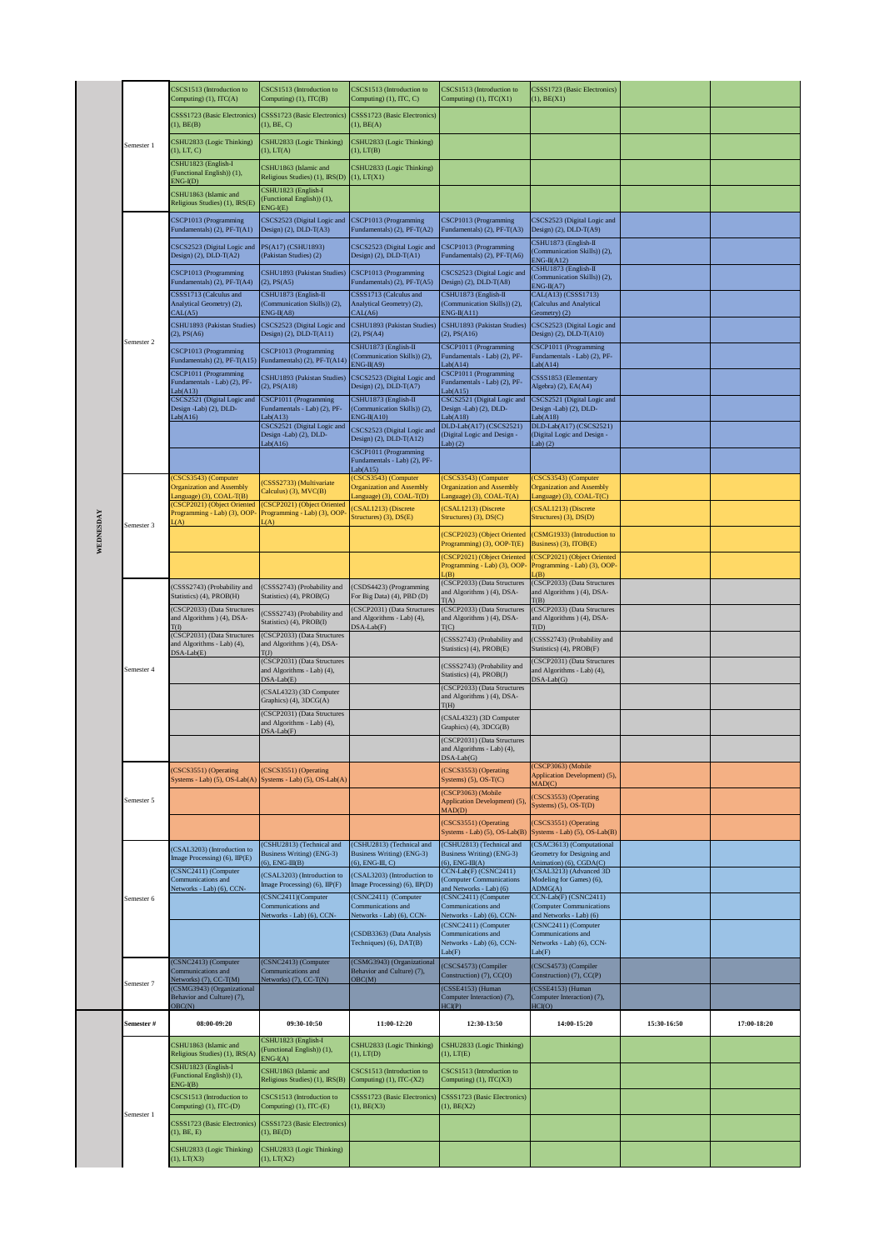|           |            | CSCS1513 (Introduction to<br>Computing) (1), ITC(A)                                    | CSCS1513 (Introduction to<br>Computing) (1), ITC(B)                                   | CSCS1513 (Introduction to<br>Computing) (1), ITC, C)                                   | CSCS1513 (Introduction to<br>Computing) (1), ITC(X1)                                      | CSSS1723 (Basic Electronics)<br>$(1)$ , $BE(X1)$                                      |             |             |
|-----------|------------|----------------------------------------------------------------------------------------|---------------------------------------------------------------------------------------|----------------------------------------------------------------------------------------|-------------------------------------------------------------------------------------------|---------------------------------------------------------------------------------------|-------------|-------------|
|           |            | CSSS1723 (Basic Electronics)<br>(1), BE(B)                                             | CSSS1723 (Basic Electronics)<br>(1), BE, C)                                           | CSSS1723 (Basic Electronics)<br>(1), BE(A)                                             |                                                                                           |                                                                                       |             |             |
|           | Semester 1 | CSHU2833 (Logic Thinking)<br>(1), LT, C)                                               | CSHU2833 (Logic Thinking)<br>$(1)$ , LT $(A)$                                         | CSHU2833 (Logic Thinking)<br>(1), LT(B)                                                |                                                                                           |                                                                                       |             |             |
|           |            | CSHU1823 (English-I<br>(Functional English)) (1),                                      | CSHU1863 (Islamic and<br>Religious Studies) (1), IRS(D)                               | CSHU2833 (Logic Thinking)<br>(1), LT(X1)                                               |                                                                                           |                                                                                       |             |             |
|           |            | $ENG-I(D)$<br>CSHU1863 (Islamic and<br>Religious Studies) (1), IRS(E)                  | CSHU1823 (English-I<br>(Functional English)) (1),                                     |                                                                                        |                                                                                           |                                                                                       |             |             |
|           |            | CSCP1013 (Programming<br>Fundamentals) (2), PF-T(A1)                                   | $ENG-I(E)$<br>CSCS2523 (Digital Logic and<br>Design) $(2)$ , DLD-T $(A3)$             | CSCP1013 (Programming<br>Fundamentals) (2), PF-T(A2)                                   | CSCP1013 (Programming<br>Fundamentals) (2), PF-T(A3)                                      | CSCS2523 (Digital Logic and<br>Design) (2), DLD-T(A9)                                 |             |             |
|           |            | CSCS2523 (Digital Logic and<br>Design) $(2)$ , DLD-T $(A2)$                            | PS(A17) (CSHU1893)<br>(Pakistan Studies) (2)                                          | CSCS2523 (Digital Logic and<br>Design) $(2)$ , DLD-T $(A1)$                            | CSCP1013 (Programming<br>Fundamentals) (2), PF-T(A6)                                      | CSHU1873 (English-II<br>(Communication Skills)) (2),                                  |             |             |
|           |            | CSCP1013 (Programming<br>Fundamentals) (2), PF-T(A4)                                   | CSHU1893 (Pakistan Studies)<br>(2), PS(A5)                                            | CSCP1013 (Programming<br>Fundamentals) (2), PF-T(A5)                                   | CSCS2523 (Digital Logic and<br>Design) $(2)$ , DLD-T $(A8)$                               | $ENG-II(A12)$<br>CSHU1873 (English-II<br>(Communication Skills)) (2),                 |             |             |
|           |            | CSSS1713 (Calculus and<br>Analytical Geometry) (2),                                    | CSHU1873 (English-II<br>(Communication Skills)) (2),                                  | CSSS1713 (Calculus and<br>Analytical Geometry) (2),                                    | CSHU1873 (English-II<br>(Communication Skills)) (2),                                      | $ENG-II(A7)$<br>CAL(A13) (CSSS1713)<br>(Calculus and Analytical                       |             |             |
|           |            | CAL(A5)<br>CSHU1893 (Pakistan Studies)<br>(2), PS(A6)                                  | $ENG-II(A8)$<br>CSCS2523 (Digital Logic and<br>Design) $(2)$ , DLD-T $(A11)$          | CAL(A6)<br>CSHU1893 (Pakistan Studies)<br>$(2)$ , PS $(A4)$                            | $ENG-II(A11)$<br>CSHU1893 (Pakistan Studies)<br>$(2)$ , PS $(A16)$                        | Geometry) (2)<br>CSCS2523 (Digital Logic and<br>Design) $(2)$ , DLD-T $(A10)$         |             |             |
|           | Semester 2 | CSCP1013 (Programming<br>Fundamentals) (2), PF-T(A15)                                  | CSCP1013 (Programming<br>Fundamentals) (2), PF-T(A14)                                 | CSHU1873 (English-II<br>(Communication Skills)) (2),                                   | CSCP1011 (Programming<br>Fundamentals - Lab) (2), PF-                                     | CSCP1011 (Programming<br>Fundamentals - Lab) (2), PF-                                 |             |             |
|           |            | CSCP1011 (Programming<br>Fundamentals - Lab) (2), PF-                                  | CSHU1893 (Pakistan Studies)<br>$(2)$ , PS $(A18)$                                     | $ENG-II(A9)$<br>CSCS2523 (Digital Logic and<br>Design) $(2)$ , DLD-T $(A7)$            | ab(A14)<br>CSCP1011 (Programming<br>Fundamentals - Lab) (2), PF-                          | Lab(Al4)<br>CSSS1853 (Elementary<br>Algebra) (2), EA(A4)                              |             |             |
|           |            | ab(A13)<br>CSCS2521 (Digital Logic and<br>Design -Lab) (2), DLD-                       | CSCP1011 (Programming<br>Fundamentals - Lab) (2), PF-                                 | CSHU1873 (English-II<br>(Communication Skills)) (2),                                   | ab(A15)<br>CSCS2521 (Digital Logic and<br>Design -Lab) (2), DLD-                          | CSCS2521 (Digital Logic and<br>Design -Lab) (2), DLD-                                 |             |             |
|           |            | ab(A16)                                                                                | Lab(413)<br>CSCS2521 (Digital Logic and<br>Design -Lab) (2), DLD-                     | $ENG-II(A10)$<br>CSCS2523 (Digital Logic and<br>Design) $(2)$ , DLD-T $(A12)$          | Lab(418)<br>DLD-Lab(A17) (CSCS2521)<br>(Digital Logic and Design -                        | Lab(Al8)<br>DLD-Lab(A17) (CSCS2521)<br>(Digital Logic and Design -                    |             |             |
|           |            |                                                                                        | Lab(Al6)                                                                              | CSCP1011 (Programming<br>Fundamentals - Lab) (2), PF-                                  | Lab(2)                                                                                    | Lab $(2)$                                                                             |             |             |
|           |            | (CSCS3543) (Computer<br><b>Organization and Assembly</b>                               | (CSSS2733) (Multivariate                                                              | Lab(415)<br>(CSCS3543) (Computer<br><b>Organization and Assembly</b>                   | (CSCS3543) (Computer<br><b>Organization and Assembly</b>                                  | (CSCS3543) (Computer<br><b>Organization and Assembly</b>                              |             |             |
|           |            | anguage) (3), COAL-T(B)<br>(CSCP2021) (Object Oriented<br>Programming - Lab) (3), OOP- | Calculus) (3), MVC(B)<br>(CSCP2021) (Object Oriented<br>Programming - Lab) (3), OOP   | anguage) (3), COAL-T(D)<br>CSAL1213) (Discrete                                         | Language) (3), $COAL-T(A)$<br>(CSAL1213) (Discrete                                        | Language) (3), COAL-T(C)<br>CSAL1213) (Discrete                                       |             |             |
| WEDNESDAY | Semester 3 | (A)                                                                                    | (A)                                                                                   | Structures) (3), DS(E)                                                                 | Structures) (3), DS(C)<br>(CSCP2023) (Object Oriented                                     | Structures) (3), DS(D)<br>(CSMG1933) (Introduction to                                 |             |             |
|           |            |                                                                                        |                                                                                       |                                                                                        | Programming) (3), OOP-T(E)<br>(CSCP2021) (Object Oriented<br>Programming - Lab) (3), OOP- | Business) (3), ITOB(E)<br>(CSCP2021) (Object Oriented<br>Programming - Lab) (3), OOP- |             |             |
|           |            | (CSSS2743) (Probability and                                                            | (CSSS2743) (Probability and                                                           | (CSDS4423) (Programming                                                                | (B)<br>(CSCP2033) (Data Structures<br>and Algorithms ) (4), DSA-                          | $\sqrt{B}$<br>(CSCP2033) (Data Structures<br>and Algorithms ) (4), DSA-               |             |             |
|           |            | Statistics) (4), PROB(H)<br>(CSCP2033) (Data Structures<br>and Algorithms ) (4), DSA-  | Statistics) (4), PROB(G)<br>(CSSS2743) (Probability and                               | For Big Data) (4), PBD (D)<br>CSCP2031) (Data Structures<br>and Algorithms - Lab) (4), | T(A)<br>(CSCP2033) (Data Structures<br>and Algorithms ) (4), DSA-                         | T(B)<br>(CSCP2033) (Data Structures<br>and Algorithms ) (4), DSA-                     |             |             |
|           | Semester 4 | (CSCP2031) (Data Structures<br>and Algorithms - Lab) (4),                              | Statistics) (4), PROB(I)<br>(CSCP2033) (Data Structures<br>and Algorithms ) (4), DSA- | $DSA-Lab(F)$                                                                           | TC<br>(CSSS2743) (Probability and                                                         | T(D)<br>(CSSS2743) (Probability and                                                   |             |             |
|           |            | $DSA-Lab(E)$                                                                           | T(J)<br>(CSCP2031) (Data Structures<br>and Algorithms - Lab) (4),                     |                                                                                        | Statistics) (4), PROB(E)<br>(CSSS2743) (Probability and                                   | Statistics) (4), PROB(F)<br>(CSCP2031) (Data Structures<br>and Algorithms - Lab) (4), |             |             |
|           |            |                                                                                        | $DSA-Lab(E)$<br>(CSAL4323) (3D Computer                                               |                                                                                        | Statistics) (4), PROB(J)<br>(CSCP2033) (Data Structures<br>and Algorithms ) (4), DSA-     | $DSA-Lab(G)$                                                                          |             |             |
|           |            |                                                                                        | Graphics) (4), 3DCG(A)<br>(CSCP2031) (Data Structures<br>and Algorithms - Lab) (4),   |                                                                                        | T(H)<br>(CSAL4323) (3D Computer                                                           |                                                                                       |             |             |
|           |            |                                                                                        | DSA-Lab(F)                                                                            |                                                                                        | Graphics) (4), 3DCG(B)<br>(CSCP2031) (Data Structures<br>and Algorithms - Lab) (4),       |                                                                                       |             |             |
|           |            | (CSCS3551) (Operating                                                                  | (CSCS3551) (Operating                                                                 |                                                                                        | $DSA-Lab(G)$<br>(CSCS3553) (Operating                                                     | (CSCP3063) (Mobile                                                                    |             |             |
|           |            | Systems - Lab) (5), OS-Lab(A)                                                          | Systems - Lab) (5), OS-Lab(A)                                                         |                                                                                        | Systems) $(5)$ , OS-T $(C)$<br>(CSCP3063) (Mobile                                         | Application Development) (5),<br>MAD(C)<br>(CSCS3553) (Operating                      |             |             |
|           | Semester 5 |                                                                                        |                                                                                       |                                                                                        | Application Development) (5)<br>MAD(D)<br>(CSCS3551) (Operating                           | Systems) $(5)$ , OS-T(D)<br>(CSCS3551) (Operating                                     |             |             |
|           |            | (CSAL3203) (Introduction to                                                            | (CSHU2813) (Technical and                                                             | (CSHU2813) (Technical and                                                              | Systems - Lab) (5), OS-Lab(B)<br>(CSHU2813) (Technical and                                | Systems - Lab) (5), OS-Lab(B)<br>(CSAC3613) (Computational                            |             |             |
|           |            | Image Processing) (6), IIP(E)<br>(CSNC2411) (Computer                                  | <b>Business Writing) (ENG-3)</b><br>$(6)$ , ENG-III(B)<br>(CSAL3203) (Introduction to | Business Writing) (ENG-3)<br>$(6)$ , ENG-III, C)<br>(CSAL3203) (Introduction to        | Business Writing) (ENG-3)<br>$(6)$ , ENG-III(A)<br>CCN-Lab(F) (CSNC2411)                  | Geometry for Designing and<br>Animation) (6), CGDA(C)<br>(CSAL3213) (Advanced 3D      |             |             |
|           | Semester 6 | Communications and<br>letworks - Lab) (6), CCN-                                        | Image Processing) (6), IIP(F)<br>(CSNC2411)(Computer                                  | Image Processing) (6), IIP(D)<br>(CSNC2411) (Computer                                  | (Computer Communications<br>and Networks - Lab) (6)<br>(CSNC2411) (Computer               | Modeling for Games) (6),<br>ADMG(A)<br>CCN-Lab(F) (CSNC2411)                          |             |             |
|           |            |                                                                                        | Communications and<br>Networks - Lab) (6), CCN-                                       | Communications and<br>Networks - Lab) (6), CCN-                                        | Communications and<br>Networks - Lab) (6), CCN-<br>(CSNC2411) (Computer                   | (Computer Communications<br>and Networks - Lab) (6)<br>(CSNC2411) (Computer           |             |             |
|           |            |                                                                                        |                                                                                       | (CSDB3363) (Data Analysis<br>Techniques) (6), DAT(B)                                   | Communications and<br>Networks - Lab) (6), CCN-<br>Lab(F)                                 | Communications and<br>Networks - Lab) (6), CCN-<br>Lab(F)                             |             |             |
|           |            | (CSNC2413) (Computer<br>Communications and<br>Vetworks) (7), CC-T(M)                   | (CSNC2413) (Computer<br>Communications and<br>Networks) (7), CC-T(N)                  | (CSMG3943) (Organizational<br>Behavior and Culture) (7),<br>OBC(M)                     | (CSCS4573) (Compiler<br>Construction) (7), CC(O)                                          | (CSCS4573) (Compiler<br>Construction) (7), CC(P)                                      |             |             |
|           | Semester 7 | (CSMG3943) (Organizational<br>Behavior and Culture) (7),<br>DEC(N)                     |                                                                                       |                                                                                        | (CSSE4153) (Human<br>Computer Interaction) (7),<br>HCI(P)                                 | (CSSE4153) (Human<br>Computer Interaction) (7),<br>HCI(O)                             |             |             |
|           | Semester # | 08:00-09:20                                                                            | 09:30-10:50                                                                           | 11:00-12:20                                                                            | 12:30-13:50                                                                               | 14:00-15:20                                                                           | 15:30-16:50 | 17:00-18:20 |
|           |            | CSHU1863 (Islamic and<br>Religious Studies) (1), IRS(A)                                | CSHU1823 (English-I<br>(Functional English)) (1),<br>$ENG-I(A)$                       | CSHU2833 (Logic Thinking)<br>(1), LT(D)                                                | CSHU2833 (Logic Thinking)<br>(1), LT(E)                                                   |                                                                                       |             |             |
|           |            | CSHU1823 (English-I<br>(Functional English)) (1),<br>$ENG-I(B)$                        | CSHU1863 (Islamic and<br>Religious Studies) (1), IRS(B)                               | CSCS1513 (Introduction to<br>Computing) (1), ITC-(X2)                                  | CSCS1513 (Introduction to<br>Computing) (1), ITC(X3)                                      |                                                                                       |             |             |
|           |            | CSCS1513 (Introduction to<br>Computing) (1), ITC-(D)                                   | CSCS1513 (Introduction to<br>Computing) (1), ITC-(E)                                  | CSSS1723 (Basic Electronics)<br>(1), BE(X3)                                            | CSSS1723 (Basic Electronics)<br>(1), BE(X2)                                               |                                                                                       |             |             |
|           | Semester 1 | CSSS1723 (Basic Electronics)<br>(1), BE, E)                                            | CSSS1723 (Basic Electronics)<br>(1), BE(D)                                            |                                                                                        |                                                                                           |                                                                                       |             |             |
|           |            | CSHU2833 (Logic Thinking)                                                              | CSHU2833 (Logic Thinking)                                                             |                                                                                        |                                                                                           |                                                                                       |             |             |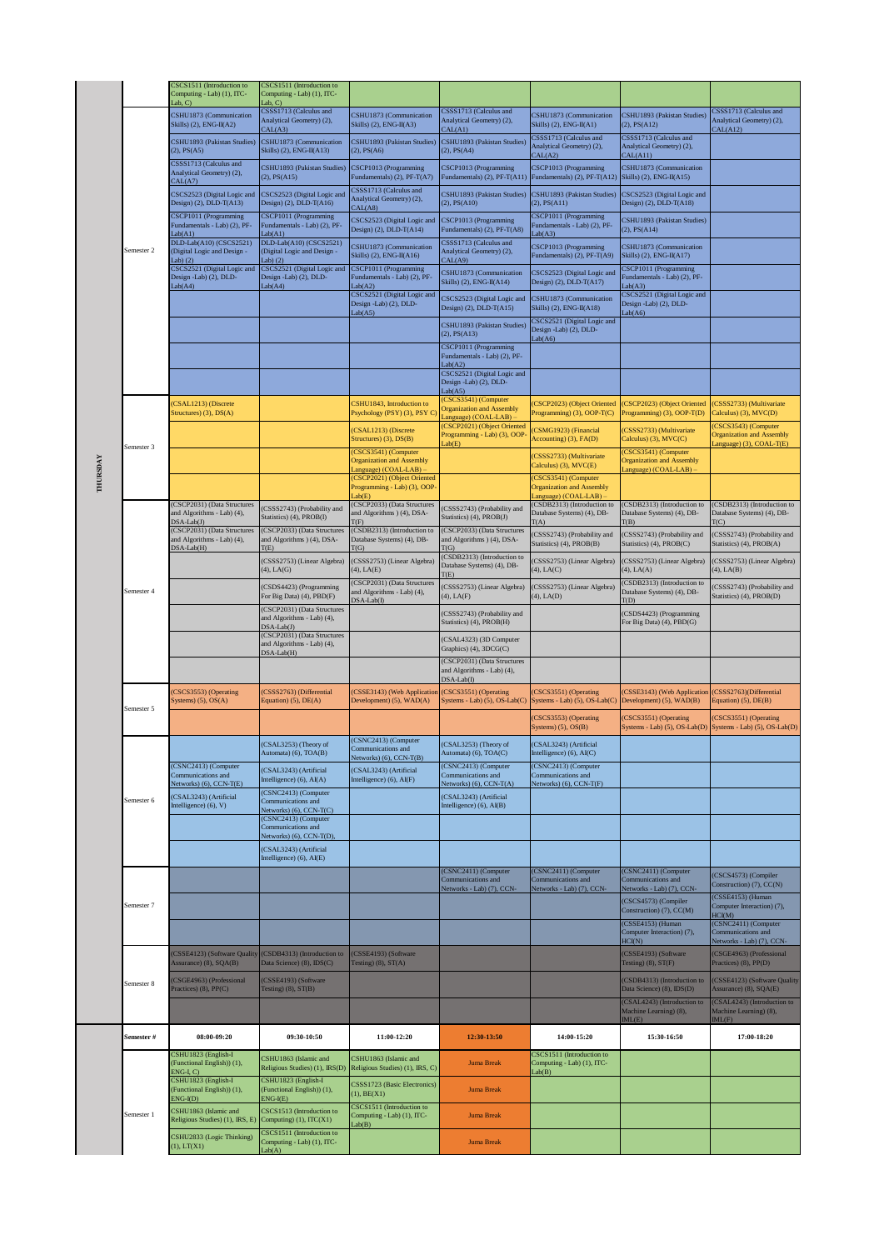|          |                       | CSCS1511 (Introduction to<br>Computing - Lab) (1), ITC-<br>ab, C          | CSCS1511 (Introduction to<br>Computing - Lab) (1), ITC-<br>Lab, C)                     |                                                                                    |                                                                                     |                                                                                  |                                                                                  |                                                                                    |
|----------|-----------------------|---------------------------------------------------------------------------|----------------------------------------------------------------------------------------|------------------------------------------------------------------------------------|-------------------------------------------------------------------------------------|----------------------------------------------------------------------------------|----------------------------------------------------------------------------------|------------------------------------------------------------------------------------|
|          |                       | CSHU1873 (Communication<br>Skills) $(2)$ , ENG-II(A2)                     | CSSS1713 (Calculus and<br>Analytical Geometry) (2),<br>CAL(A3)                         | CSHU1873 (Communication<br>Skills) (2), ENG-II(A3)                                 | CSSS1713 (Calculus and<br>Analytical Geometry) (2),<br>CAL(A1)                      | CSHU1873 (Communication<br>Skills) $(2)$ , ENG-II(A1)                            | CSHU1893 (Pakistan Studies)<br>(2), PS(A12)                                      | CSSS1713 (Calculus and<br>Analytical Geometry) (2),<br>CAL(A12)                    |
|          |                       | CSHU1893 (Pakistan Studies)<br>(2), PS(A5)                                | CSHU1873 (Communication<br>Skills) (2), ENG-II(A13)                                    | CSHU1893 (Pakistan Studies)<br>(2), PS(A6)                                         | CSHU1893 (Pakistan Studies)<br>(2), PS(A4)                                          | CSSS1713 (Calculus and<br>Analytical Geometry) (2),<br>CAL(A2)                   | CSSS1713 (Calculus and<br>Analytical Geometry) (2),<br>CAL(A11)                  |                                                                                    |
|          |                       | CSSS1713 (Calculus and<br>Analytical Geometry) (2),<br>CAL(A7)            | CSHU1893 (Pakistan Studies)<br>$(2)$ , $PS(A15)$                                       | CSCP1013 (Programming<br>Fundamentals) (2), PF-T(A7)                               | CSCP1013 (Programming<br>Fundamentals) (2), PF-T(A11                                | CSCP1013 (Programming<br>Fundamentals) (2), PF-T(A12)                            | CSHU1873 (Communication<br>Skills) (2), ENG-II(A15)                              |                                                                                    |
|          |                       | CSCS2523 (Digital Logic and<br>Design) $(2)$ , DLD-T $(A13)$              | CSCS2523 (Digital Logic and<br>Design) $(2)$ , DLD-T(A16)                              | CSSS1713 (Calculus and<br>Analytical Geometry) (2),<br>CAL(A8)                     | CSHU1893 (Pakistan Studies)<br>$(2)$ , PS $(A10)$                                   | CSHU1893 (Pakistan Studies)<br>$(2)$ , PS $(A11)$                                | CSCS2523 (Digital Logic and<br>Design) $(2)$ , DLD-T $(A18)$                     |                                                                                    |
|          |                       | CSCP1011 (Programming<br>Fundamentals - Lab) (2), PF-<br>Lab(Al)          | CSCP1011 (Programming<br>Fundamentals - Lab) (2), PF-<br>Lab(41)                       | CSCS2523 (Digital Logic and<br>Design) (2), DLD-T(A14)                             | CSCP1013 (Programming<br>Fundamentals) (2), PF-T(A8)                                | CSCP1011 (Programming<br>Fundamentals - Lab) (2), PF-<br>Lab(A3)                 | CSHU1893 (Pakistan Studies)<br>$(2)$ , $PS(A14)$                                 |                                                                                    |
|          | Semester <sub>2</sub> | DLD-Lab(A10) (CSCS2521)<br>(Digital Logic and Design -<br>Lab $(2)$       | DLD-Lab(A10) (CSCS2521)<br>(Digital Logic and Design -<br>Lab) $(2)$                   | CSHU1873 (Communication<br>Skills) $(2)$ , ENG-II(A16)                             | CSSS1713 (Calculus and<br>Analytical Geometry) (2),<br>CAL(A9)                      | CSCP1013 (Programming<br>Fundamentals) (2), PF-T(A9)                             | CSHU1873 (Communication<br>Skills) (2), ENG-II(A17)                              |                                                                                    |
|          |                       | CSCS2521 (Digital Logic and<br>Design -Lab) (2), DLD-<br>ab(A4)           | CSCS2521 (Digital Logic and<br>Design -Lab) (2), DLD-<br>Lab(A4)                       | CSCP1011 (Programming<br>Fundamentals - Lab) (2), PF-<br>Lab(A2)                   | CSHU1873 (Communication<br>Skills) (2), ENG-II(A14)                                 | CSCS2523 (Digital Logic and<br>Design) $(2)$ , DLD-T $(A17)$                     | CSCP1011 (Programming<br>Fundamentals - Lab) (2), PF-<br>Lab(A3)                 |                                                                                    |
|          |                       |                                                                           |                                                                                        | CSCS2521 (Digital Logic and<br>Design -Lab) (2), DLD-<br>Lab( A5)                  | CSCS2523 (Digital Logic and<br>Design) (2), DLD-T(A15)                              | CSHU1873 (Communication<br>Skills) $(2)$ , ENG-II(A18)                           | CSCS2521 (Digital Logic and<br>Design -Lab) (2), DLD-<br>Lab(46)                 |                                                                                    |
|          |                       |                                                                           |                                                                                        |                                                                                    | CSHU1893 (Pakistan Studies)<br>$(2)$ , PS $(A13)$                                   | CSCS2521 (Digital Logic and<br>Design -Lab) (2), DLD-<br>Lab(46)                 |                                                                                  |                                                                                    |
|          |                       |                                                                           |                                                                                        |                                                                                    | <b>CSCP1011</b> (Programming<br>Fundamentals - Lab) (2), PF-                        |                                                                                  |                                                                                  |                                                                                    |
|          |                       |                                                                           |                                                                                        |                                                                                    | ab(A2)<br>CSCS2521 (Digital Logic and<br>Design -Lab) (2), DLD-<br>ab(A5)           |                                                                                  |                                                                                  |                                                                                    |
|          |                       | CSAL1213) (Discrete<br>Structures) $(3)$ , $DS(A)$                        |                                                                                        | CSHU1843, Introduction to<br>Psychology (PSY) (3), PSY C)                          | CSCS3541) (Computer<br><b>Organization and Assembly</b><br>anguage) (COAL-LAB)      | CSCP2023) (Object Oriented<br>Programming) (3), OOP-T(C)                         | (CSCP2023) (Object Oriented<br>Programming) (3), OOP-T(D)                        | (CSSS2733) (Multivariate<br>Calculus) (3), MVC(D)                                  |
|          |                       |                                                                           |                                                                                        | (CSAL1213) (Discrete<br>Structures) (3), DS(B)                                     | (CSCP2021) (Object Oriented<br>Programming - Lab) (3), OOP<br>ab(E)                 | CSMG1923) (Financial<br>Accounting) (3), FA(D)                                   | (CSSS2733) (Multivariate<br>Calculus) (3), MVC(C)                                | CSCS3543) (Computer<br><b>Organization and Assembly</b><br>anguage) (3), COAL-T(E) |
|          | Semester 3            |                                                                           |                                                                                        | (CSCS3541) (Computer<br><b>Organization and Assembly</b><br>Language) (COAL-LAB) - |                                                                                     | CSSS2733) (Multivariate<br>Calculus) (3), MVC(E)                                 | (CSCS3541) (Computer<br><b>Organization and Assembly</b><br>Language) (COAL-LAB) |                                                                                    |
| THURSDAY |                       |                                                                           |                                                                                        | (CSCP2021) (Object Oriented<br>Programming - Lab) (3), OOP-                        |                                                                                     | (CSCS3541) (Computer<br><b>Organization and Assembly</b>                         |                                                                                  |                                                                                    |
|          |                       | (CSCP2031) (Data Structures<br>and Algorithms - Lab) (4),                 | (CSSS2743) (Probability and<br>Statistics) (4), PROB(I)                                | ab(E)<br>(CSCP2033) (Data Structures<br>and Algorithms ) (4), DSA-                 | (CSSS2743) (Probability and<br>Statistics) (4), PROB(J)                             | anguage) (COAL-LAB)<br>(CSDB2313) (Introduction to<br>Database Systems) (4), DB- | (CSDB2313) (Introduction to<br>Database Systems) (4), DB-                        | (CSDB2313) (Introduction to<br>Database Systems) (4), DB-                          |
|          |                       | $DSA-Lab(J)$<br>(CSCP2031) (Data Structures<br>and Algorithms - Lab) (4), | (CSCP2033) (Data Structures<br>and Algorithms ) (4), DSA-                              | T(F)<br>(CSDB2313) (Introduction to<br>Database Systems) (4), DB-                  | CSCP2033) (Data Structures<br>and Algorithms ) (4), DSA-                            | T(A)<br>(CSSS2743) (Probability and<br>Statistics) (4), PROB(B)                  | T(B)<br>(CSSS2743) (Probability and<br>Statistics) (4), PROB(C)                  | $\Gamma(C)$<br>CSSS2743) (Probability and<br>Statistics) (4), PROB(A)              |
|          |                       | $DSA-Lab(H)$                                                              | T(E)<br>(CSSS2753) (Linear Algebra)<br>$(4)$ , LA $(G)$                                | T(G)<br>(CSSS2753) (Linear Algebra)<br>$(4)$ , LA $(E)$                            | T(G)<br>CSDB2313) (Introduction to<br>Database Systems) (4), DB-                    | (CSSS2753) (Linear Algebra)<br>$(4)$ , LA $(C)$                                  | (CSSS2753) (Linear Algebra)<br>$(4)$ , LA $(A)$                                  | (CSSS2753) (Linear Algebra)<br>$(4)$ , LA $(B)$                                    |
|          | Semester 4            |                                                                           | (CSDS4423) (Programming                                                                | (CSCP2031) (Data Structures<br>and Algorithms - Lab) (4),                          | $\Gamma(E)$<br>CSSS2753) (Linear Algebra)                                           | (CSSS2753) (Linear Algebra)                                                      | (CSDB2313) (Introduction to<br>Database Systems) (4), DB-                        | CSSS2743) (Probability and                                                         |
|          |                       |                                                                           | For Big Data) (4), PBD(F)<br>(CSCP2031) (Data Structures<br>and Algorithms - Lab) (4), | $DSA-Lab(I)$                                                                       | $(4)$ , LA $(F)$<br>CSSS2743) (Probability and                                      | $(4)$ , LA $(D)$                                                                 | T(D)<br>(CSDS4423) (Programming                                                  | Statistics) (4), PROB(D)                                                           |
|          |                       |                                                                           | $DSA-Lab(J)$<br>(CSCP2031) (Data Structures<br>and Algorithms - Lab) (4),              |                                                                                    | Statistics) (4), PROB(H)<br>CSAL4323) (3D Computer                                  |                                                                                  | For Big Data) (4), PBD(G)                                                        |                                                                                    |
|          |                       |                                                                           | DSA-Lab(H)                                                                             |                                                                                    | Graphics) (4), 3DCG(C)<br>(CSCP2031) (Data Structures<br>and Algorithms - Lab) (4), |                                                                                  |                                                                                  |                                                                                    |
|          |                       | CSCS3553) (Operating                                                      | (CSSS2763) (Differential                                                               | (CSSE3143) (Web Application                                                        | $DSA-Lab(I)$<br>(CSCS3551) (Operating                                               | CSCS3551) (Operating                                                             | (CSSE3143) (Web Application                                                      | (CSSS2763)(Differential                                                            |
|          | Semester 5            | Systems) $(5)$ , OS $(A)$                                                 | Equation) (5), DE(A)                                                                   | Development) (5), WAD(A)                                                           | Systems - Lab) (5), OS-Lab(C)                                                       | Systems - Lab) (5), OS-Lab(C)<br>(CSCS3553) (Operating                           | Development) (5), WAD(B)<br>(CSCS3551) (Operating                                | Equation) (5), DE(B)<br>CSCS3551) (Operating                                       |
|          |                       |                                                                           | (CSAL3253) (Theory of                                                                  | (CSNC2413) (Computer                                                               | (CSAL3253) (Theory of                                                               | Systems $)$ (5), $OS(B)$<br>(CSAL3243) (Artificial                               | Systems - Lab) (5), OS-Lab(D)                                                    | Systems - Lab) (5), OS-Lab(D)                                                      |
|          |                       | (CSNC2413) (Computer                                                      | Automata) (6), TOA(B)<br>(CSAL3243) (Artificial                                        | Communications and<br>Networks) (6), CCN-T(B)<br>(CSAL3243) (Artificial            | Automata) (6), TOA(C)<br>(CSNC2413) (Computer                                       | Intelligence) (6), AI(C)<br>(CSNC2413) (Computer                                 |                                                                                  |                                                                                    |
|          |                       | Communications and<br>Vetworks) (6), CCN-T(E)<br>CSAL3243) (Artificial    | Intelligence) (6), AI(A)<br>(CSNC2413) (Computer                                       | Intelligence) (6), AI(F)                                                           | Communications and<br>Vetworks) (6), CCN-T(A)<br>(CSAL3243) (Artificial             | Communications and<br>Networks) (6), CCN-T(F)                                    |                                                                                  |                                                                                    |
|          | Semester 6            | Intelligence) (6), V)                                                     | Communications and<br>Vetworks) (6), CCN-T(C)<br>(CSNC2413) (Computer                  |                                                                                    | Intelligence) (6), AI(B)                                                            |                                                                                  |                                                                                  |                                                                                    |
|          |                       |                                                                           | Communications and<br>Vetworks) (6), CCN-T(D),                                         |                                                                                    |                                                                                     |                                                                                  |                                                                                  |                                                                                    |
|          |                       |                                                                           | (CSAL3243) (Artificial<br>Intelligence) (6), AI(E)                                     |                                                                                    | (CSNC2411) (Computer                                                                | (CSNC2411) (Computer                                                             | (CSNC2411) (Computer                                                             |                                                                                    |
|          |                       |                                                                           |                                                                                        |                                                                                    | Communications and<br>Vetworks - Lab) (7), CCN-                                     | Communications and<br>Vetworks - Lab) (7), CCN-                                  | Communications and<br>Networks - Lab) (7), CCN-                                  | (CSCS4573) (Compiler<br>Construction) (7), CC(N)                                   |
|          | Semester 7            |                                                                           |                                                                                        |                                                                                    |                                                                                     |                                                                                  | (CSCS4573) (Compiler<br>Construction) $(7)$ , $CC(M)$                            | (CSSE4153) (Human<br>Computer Interaction) (7),<br><b>HCI(M)</b>                   |
|          |                       |                                                                           |                                                                                        |                                                                                    |                                                                                     |                                                                                  | (CSSE4153) (Human<br>Computer Interaction) (7),<br>HCI(N)                        | (CSNC2411) (Computer<br>Communications and<br>Networks - Lab) (7), CCN-            |
|          |                       | CSSE4123) (Software Quality<br>Assurance) (8), SQA(B)                     | (CSDB4313) (Introduction to<br>Data Science) (8), IDS(C)                               | (CSSE4193) (Software<br>Testing) $(8)$ , $ST(A)$                                   |                                                                                     |                                                                                  | (CSSE4193) (Software<br>Testing) $(8)$ , $ST(F)$                                 | (CSGE4963) (Professional<br>Practices) (8), PP(D)                                  |
|          | Semester 8            | CSGE4963) (Professional<br>Practices) (8), PP(C)                          | (CSSE4193) (Software<br>Testing) $(8)$ , $ST(B)$                                       |                                                                                    |                                                                                     |                                                                                  | (CSDB4313) (Introduction to<br>Data Science) (8), IDS(D)                         | CSSE4123) (Software Quality<br>Assurance) (8), SQA(E)                              |
|          |                       |                                                                           |                                                                                        |                                                                                    |                                                                                     |                                                                                  | (CSAL4243) (Introduction to<br>Machine Learning) (8),<br>ML(E)                   | CSAL4243) (Introduction to<br>Machine Learning) (8),<br>ML(F)                      |
|          | Semester #            | 08:00-09:20                                                               | 09:30-10:50                                                                            | 11:00-12:20                                                                        | 12:30-13:50                                                                         | 14:00-15:20                                                                      | 15:30-16:50                                                                      | 17:00-18:20                                                                        |
|          |                       | CSHU1823 (English-I<br>(Functional English)) (1),<br>ENG-I, C)            | CSHU1863 (Islamic and<br>Religious Studies) (1), IRS(D)                                | CSHU1863 (Islamic and<br>Religious Studies) (1), IRS, C)                           | <b>Juma Break</b>                                                                   | CSCS1511 (Introduction to<br>Computing - Lab) (1), ITC-<br>Lab(B)                |                                                                                  |                                                                                    |
|          |                       | CSHU1823 (English-I<br>(Functional English)) (1),<br>$ENG-I(D)$           | CSHU1823 (English-I<br>(Functional English)) (1),<br>$ENG-I(E)$                        | CSSS1723 (Basic Electronics)<br>(1), BE(X1)                                        | <b>Juma Break</b>                                                                   |                                                                                  |                                                                                  |                                                                                    |
|          | Semester 1            | CSHU1863 (Islamic and<br>Religious Studies) (1), IRS, E)                  | CSCS1513 (Introduction to<br>Computing) (1), ITC(X1)                                   | CSCS1511 (Introduction to<br>Computing - Lab) (1), ITC-<br>Lab(B)                  | <b>Juma Break</b>                                                                   |                                                                                  |                                                                                  |                                                                                    |
|          |                       | CSHU2833 (Logic Thinking)<br>$1)$ , $LT(X1)$                              | CSCS1511 (Introduction to<br>Computing - Lab) (1), ITC-<br>Lab(A)                      |                                                                                    | <b>Juma Break</b>                                                                   |                                                                                  |                                                                                  |                                                                                    |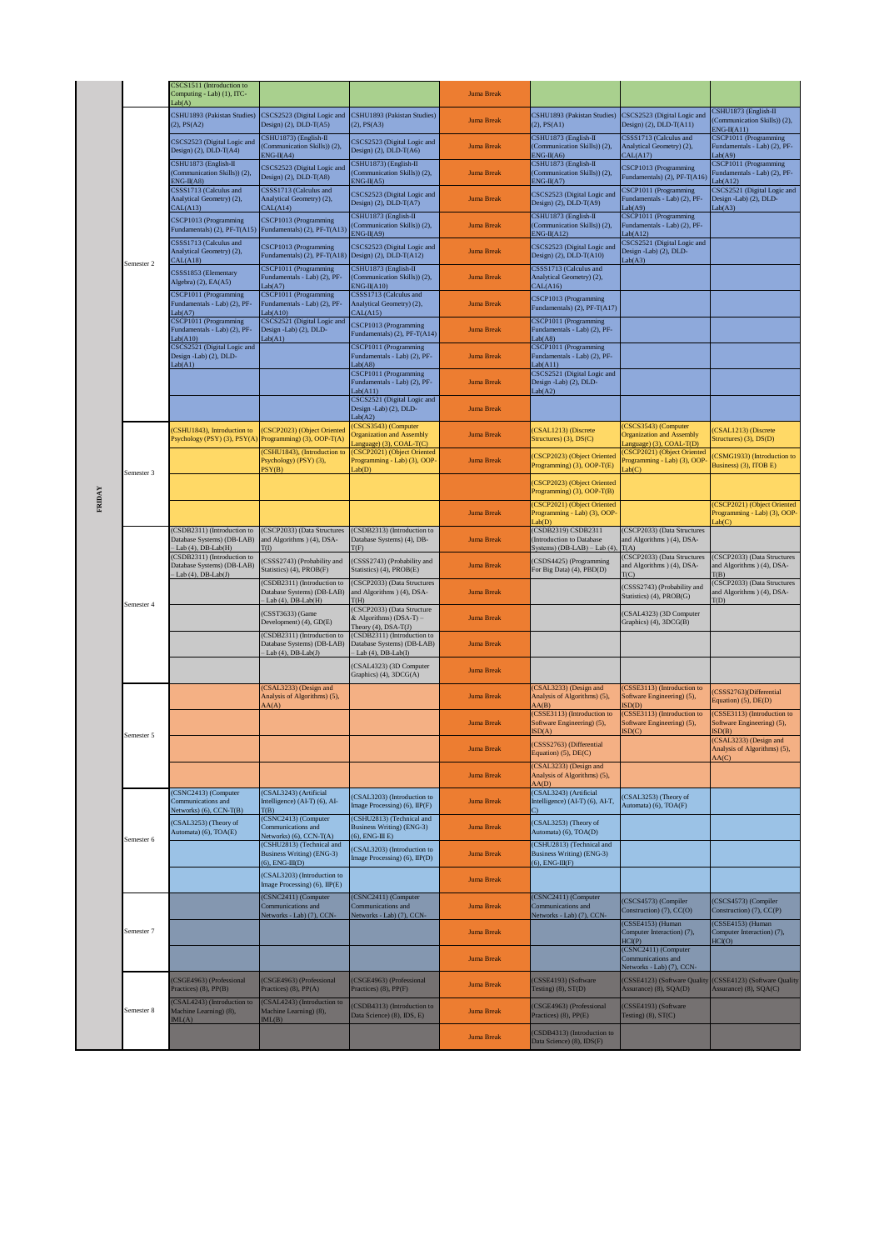|        |            | CSCS1511 (Introduction to<br>Computing - Lab) (1), ITC-<br>ab(A)                                |                                                                                           |                                                                                           | <b>Juma Break</b> |                                                                                         |                                                                                            |                                                                               |
|--------|------------|-------------------------------------------------------------------------------------------------|-------------------------------------------------------------------------------------------|-------------------------------------------------------------------------------------------|-------------------|-----------------------------------------------------------------------------------------|--------------------------------------------------------------------------------------------|-------------------------------------------------------------------------------|
|        |            | CSHU1893 (Pakistan Studies)<br>(2), PS(A2)                                                      | CSCS2523 (Digital Logic and<br>Design) $(2)$ , DLD-T $(A5)$                               | CSHU1893 (Pakistan Studies)<br>$(2)$ , PS $(A3)$                                          | <b>Juma Break</b> | CSHU1893 (Pakistan Studies)<br>(2), PS(A1)                                              | CSCS2523 (Digital Logic and<br>Design) $(2)$ , DLD-T $(A11)$                               | CSHU1873 (English-II<br>(Communication Skills)) (2),<br>$ENG-II(A11)$         |
|        |            | CSCS2523 (Digital Logic and<br>Design) (2), DLD-T(A4)                                           | CSHU1873) (English-II<br>(Communication Skills)) (2),<br>$ENG-II(A4)$                     | CSCS2523 (Digital Logic and<br>Design) (2), DLD-T(A6)                                     | <b>Juma Break</b> | CSHU1873 (English-II<br>(Communication Skills)) (2),<br>$ENG-II(A6)$                    | CSSS1713 (Calculus and<br>Analytical Geometry) (2),<br>CAL(A17)                            | CSCP1011 (Programming<br>Fundamentals - Lab) (2), PF-<br>Lab(A9)              |
|        |            | CSHU1873 (English-II<br>Communication Skills)) (2),<br>$ENG-II(A8)$                             | CSCS2523 (Digital Logic and<br>Design) $(2)$ , DLD-T $(A8)$                               | CSHU1873) (English-II<br>(Communication Skills)) (2),<br>$ENG-II(A5)$                     | <b>Juma Break</b> | CSHU1873 (English-II<br>(Communication Skills)) (2),<br>$ENG-II(A7)$                    | CSCP1013 (Programming<br>Fundamentals) (2), PF-T(A16)                                      | CSCP1011 (Programming<br>Fundamentals - Lab) (2), PF-<br>Lab(Al2)             |
|        | Semester 2 | CSSS1713 (Calculus and<br>Analytical Geometry) (2),<br>CAL(A13)                                 | CSSS1713 (Calculus and<br>Analytical Geometry) (2),<br>CAL(A14)                           | CSCS2523 (Digital Logic and<br>Design) $(2)$ , DLD-T $(A7)$                               | <b>Juma Break</b> | CSCS2523 (Digital Logic and<br>Design) (2), DLD-T(A9)                                   | CSCP1011 (Programming<br>Fundamentals - Lab) (2), PF-<br>Lab(A9)                           | CSCS2521 (Digital Logic and<br>Design -Lab) (2), DLD-<br>Lab(A3)              |
|        |            | CSCP1013 (Programming<br>Fundamentals) (2), PF-T(A15)                                           | CSCP1013 (Programming<br>Fundamentals) (2), PF-T(A13)                                     | CSHU1873 (English-II<br>(Communication Skills)) (2),<br>$ENG-II( A9)$                     | <b>Juma Break</b> | CSHU1873 (English-II<br>(Communication Skills)) (2),<br>$ENG-II(A12)$                   | CSCP1011 (Programming<br>Fundamentals - Lab) (2), PF-<br>Lab(Al2)                          |                                                                               |
|        |            | CSSS1713 (Calculus and<br>Analytical Geometry) (2),<br>CAL(A18)                                 | CSCP1013 (Programming<br>Fundamentals) (2), PF-T(A18)                                     | CSCS2523 (Digital Logic and<br>Design) $(2)$ , DLD-T $(A12)$                              | <b>Juma Break</b> | CSCS2523 (Digital Logic and<br>Design) (2), DLD-T(A10)                                  | CSCS2521 (Digital Logic and<br>Design -Lab) (2), DLD-<br>Lab(A3)                           |                                                                               |
|        |            | CSSS1853 (Elementary<br>Algebra) (2), EA(A5)                                                    | CSCP1011 (Programming<br>Fundamentals - Lab) (2), PF-<br>Lab(A7)<br>CSCP1011 (Programming | CSHU1873 (English-II<br>(Communication Skills)) (2),<br>$ENG-II(A10)$                     | <b>Juma Break</b> | CSSS1713 (Calculus and<br>Analytical Geometry) (2),<br>CAL(A16)                         |                                                                                            |                                                                               |
|        |            | CSCP1011 (Programming<br>Fundamentals - Lab) (2), PF-<br>ab(A7)                                 | Fundamentals - Lab) (2), PF-<br>Lab(A10)<br>CSCS2521 (Digital Logic and                   | CSSS1713 (Calculus and<br>Analytical Geometry) (2),<br>CAL(A15)                           | <b>Juma Break</b> | CSCP1013 (Programming<br>Fundamentals) (2), PF-T(A17)<br>CSCP1011 (Programming          |                                                                                            |                                                                               |
|        |            | CSCP1011 (Programming<br>Fundamentals - Lab) (2), PF-<br>ab(A10)<br>CSCS2521 (Digital Logic and | Design -Lab) (2), DLD-<br>Lab(41)                                                         | CSCP1013 (Programming<br>Fundamentals) (2), PF-T(A14)<br>CSCP1011 (Programming            | <b>Juma Break</b> | Fundamentals - Lab) (2), PF-<br>Lab(48)<br>CSCP1011 (Programming                        |                                                                                            |                                                                               |
|        |            | Design -Lab) (2), DLD-<br>Lab(41)                                                               |                                                                                           | Fundamentals - Lab) (2), PF-<br>Lab(48)<br>CSCP1011 (Programming                          | <b>Juma Break</b> | Fundamentals - Lab) (2), PF-<br>Lab(A11)<br>CSCS2521 (Digital Logic and                 |                                                                                            |                                                                               |
|        |            |                                                                                                 |                                                                                           | Fundamentals - Lab) (2), PF-<br>ab(A11)<br>CSCS2521 (Digital Logic and                    | <b>Juma Break</b> | Design -Lab) (2), DLD-<br>Lab(A2)                                                       |                                                                                            |                                                                               |
|        |            |                                                                                                 |                                                                                           | Design -Lab) (2), DLD-<br>ab(A2)<br>CSCS3543) (Computer                                   | <b>Juma Break</b> |                                                                                         | (CSCS3543) (Computer                                                                       |                                                                               |
|        |            | CSHU1843), Introduction to<br>Psychology (PSY) (3), PSY(A)                                      | (CSCP2023) (Object Oriented<br>Programming) (3), OOP-T(A)<br>(CSHU1843), (Introduction to | <b>Organization and Assembly</b><br>anguage) (3), COAL-T(C)<br>CSCP2021) (Object Oriented | <b>Juma Break</b> | CSAL1213) (Discrete<br>Structures) (3), DS(C)                                           | <b>Organization and Assembly</b><br>anguage) (3), COAL-T(D)<br>(CSCP2021) (Object Oriented | (CSAL1213) (Discrete<br>Structures) (3), DS(D)                                |
|        | Semester 3 |                                                                                                 | Psychology) (PSY) (3),<br>PSY(B)                                                          | Programming - Lab) (3), OOP-<br>ab(D)                                                     | <b>Juma Break</b> | CSCP2023) (Object Oriented<br>Programming) (3), OOP-T(E)                                | Programming - Lab) (3), OOP-<br>ab(C)                                                      | CSMG1933) (Introduction to<br>Business) (3), ITOB E)                          |
| FRIDAY |            |                                                                                                 |                                                                                           |                                                                                           |                   | (CSCP2023) (Object Oriented<br>Programming) (3), OOP-T(B)<br>CSCP2021) (Object Oriented |                                                                                            | (CSCP2021) (Object Oriented                                                   |
|        |            | CSDB2311) (Introduction to                                                                      | (CSCP2033) (Data Structures                                                               | (CSDB2313) (Introduction to                                                               | <b>Juma Break</b> | Programming - Lab) (3), OOP-<br>ab(D)<br>(CSDB2319) CSDB2311                            | (CSCP2033) (Data Structures                                                                | Programming - Lab) (3), OOP-<br>ab(C)                                         |
|        |            | Database Systems) (DB-LAB)<br>$-Lab(4)$ , DB-Lab $(H)$<br>CSDB2311) (Introduction to            | and Algorithms ) (4), DSA-<br><b>T</b> (I)                                                | Database Systems) (4), DB-<br>T(F)                                                        | <b>Juma Break</b> | Introduction to Database<br>Systems) $(DB-LAB) - Lab(4)$                                | and Algorithms ) (4), DSA-<br>T(A)<br>(CSCP2033) (Data Structures                          | (CSCP2033) (Data Structures                                                   |
|        |            | Database Systems) (DB-LAB)<br>Lab $(4)$ , DB-Lab $(J)$                                          | (CSSS2743) (Probability and<br>Statistics) (4), PROB(F)<br>(CSDB2311) (Introduction to    | CSSS2743) (Probability and<br>Statistics) (4), PROB(E)<br>CSCP2033) (Data Structures      | <b>Juma Break</b> | (CSDS4425) (Programming<br>For Big Data) (4), PBD(D)                                    | and Algorithms ) (4), DSA-<br>T(C)                                                         | and Algorithms ) (4), DSA-<br>T(B)<br>(CSCP2033) (Data Structures             |
|        | Semester 4 |                                                                                                 | Database Systems) (DB-LAB)<br>$-Lab(4), DB-Lab(H)$                                        | and Algorithms ) (4), DSA-<br>T(H)<br>(CSCP2033) (Data Structure                          | <b>Juma Break</b> |                                                                                         | (CSSS2743) (Probability and<br>Statistics) (4), PROB(G)                                    | and Algorithms ) (4), DSA-<br>T(D)                                            |
|        |            |                                                                                                 | (CSST3633) (Game<br>Development) (4), GD(E)<br>(CSDB2311) (Introduction to                | & Algorithms) (DSA-T) -<br>Theory (4), DSA-T(J)<br>(CSDB2311) (Introduction to            | <b>Juma Break</b> |                                                                                         | (CSAL4323) (3D Computer<br>Graphics) (4), 3DCG(B)                                          |                                                                               |
|        |            |                                                                                                 | Database Systems) (DB-LAB)<br>$-Lab(4), DB-Lab(J)$                                        | Database Systems) (DB-LAB)<br>$-Lab(4), DB-Lab(I)$                                        | <b>Juma Break</b> |                                                                                         |                                                                                            |                                                                               |
|        |            |                                                                                                 | (CSAL3233) (Design and                                                                    | CSAL4323) (3D Computer<br>Graphics) (4), 3DCG(A)                                          | <b>Juma Break</b> | (CSAL3233) (Design and                                                                  | (CSSE3113) (Introduction to                                                                |                                                                               |
|        |            |                                                                                                 | Analysis of Algorithms) (5),<br>AA(A)                                                     |                                                                                           | <b>Juma Break</b> | Analysis of Algorithms) (5),<br>AA(B)<br>(CSSE3113) (Introduction to                    | Software Engineering) (5),<br>$\text{ISD}(\text{D})$<br>(CSSE3113) (Introduction to        | CSSS2763)(Differential<br>Equation) (5), DE(D)<br>(CSSE3113) (Introduction to |
|        | Semester 5 |                                                                                                 |                                                                                           |                                                                                           | <b>Juma Break</b> | Software Engineering) (5),<br>SD(A)                                                     | Software Engineering) (5),<br>$\text{ISD}(\text{C})$                                       | Software Engineering) (5),<br>ISD(B)<br>(CSAL3233) (Design and                |
|        |            |                                                                                                 |                                                                                           |                                                                                           | <b>Juma Break</b> | (CSSS2763) (Differential<br>Equation) (5), DE(C)<br>(CSAL3233) (Design and              |                                                                                            | Analysis of Algorithms) (5),<br>AA(C)                                         |
|        |            |                                                                                                 |                                                                                           |                                                                                           | <b>Juma Break</b> | Analysis of Algorithms) (5),<br>AA(D)                                                   |                                                                                            |                                                                               |
|        |            | CSNC2413) (Computer<br>Communications and<br>Networks) (6), CCN-T(B)                            | (CSAL3243) (Artificial<br>Intelligence) (AI-T) (6), AI-<br>T(B)                           | (CSAL3203) (Introduction to<br>Image Processing) (6), IIP(F)                              | <b>Juma Break</b> | (CSAL3243) (Artificial<br>Intelligence) (AI-T) (6), AI-T,<br>C).                        | (CSAL3253) (Theory of<br>Automata) (6), TOA(F)                                             |                                                                               |
|        | Semester 6 | CSAL3253) (Theory of<br>Automata) (6), TOA(E)                                                   | (CSNC2413) (Computer<br>Communications and<br>Networks) (6), CCN-T(A)                     | (CSHU2813) (Technical and<br>Business Writing) (ENG-3)<br>$(6)$ , ENG-III E)              | <b>Juma Break</b> | (CSAL3253) (Theory of<br>Automata) (6), TOA(D)                                          |                                                                                            |                                                                               |
|        |            |                                                                                                 | (CSHU2813) (Technical and<br><b>Business Writing) (ENG-3)</b><br>$(6)$ , ENG-III(D)       | CSAL3203) (Introduction to<br>Image Processing) (6), IIP(D)                               | <b>Juma Break</b> | (CSHU2813) (Technical and<br><b>Business Writing) (ENG-3)</b><br>$(6)$ , ENG-III(F)     |                                                                                            |                                                                               |
|        |            |                                                                                                 | (CSAL3203) (Introduction to<br>Image Processing) (6), IIP(E)                              |                                                                                           | <b>Juma Break</b> |                                                                                         |                                                                                            |                                                                               |
|        |            |                                                                                                 | (CSNC2411) (Computer<br>Communications and<br>Networks - Lab) (7), CCN-                   | (CSNC2411) (Computer<br>Communications and<br>Vetworks - Lab) (7), CCN-                   | <b>Juma Break</b> | (CSNC2411) (Computer<br>Communications and<br>Vetworks - Lab) (7), CCN-                 | (CSCS4573) (Compiler<br>Construction) (7), CC(O)                                           | (CSCS4573) (Compiler<br>Construction) (7), CC(P)                              |
|        | Semester 7 |                                                                                                 |                                                                                           |                                                                                           | <b>Juma Break</b> |                                                                                         | (CSSE4153) (Human<br>Computer Interaction) (7),<br>HCI(P)                                  | (CSSE4153) (Human<br>Computer Interaction) (7),<br>HCI(O)                     |
|        |            |                                                                                                 |                                                                                           |                                                                                           | <b>Juma Break</b> |                                                                                         | (CSNC2411) (Computer<br>Communications and<br>Networks - Lab) (7), CCN-                    |                                                                               |
|        |            | CSGE4963) (Professional<br>Practices) (8), PP(B)                                                | (CSGE4963) (Professional<br>Practices) (8), PP(A)                                         | CSGE4963) (Professional<br>Practices) (8), PP(F)                                          | <b>Juma Break</b> | (CSSE4193) (Software<br>Testing) $(8)$ , $ST(D)$                                        | (CSSE4123) (Software Quality<br>Assurance) (8), SQA(D)                                     | (CSSE4123) (Software Quality<br>Assurance) (8), SQA(C)                        |
|        | Semester 8 | CSAL4243) (Introduction to<br>Machine Learning) (8),<br>ML(A)                                   | (CSAL4243) (Introduction to<br>Machine Learning) (8),<br>ML(B)                            | CSDB4313) (Introduction to<br>Data Science) (8), IDS, E)                                  | <b>Juma Break</b> | (CSGE4963) (Professional<br>Practices) (8), PP(E)                                       | (CSSE4193) (Software<br>Testing) $(8)$ , ST $(C)$                                          |                                                                               |
|        |            |                                                                                                 |                                                                                           |                                                                                           | <b>Juma Break</b> | (CSDB4313) (Introduction to<br>Data Science) (8), IDS(F)                                |                                                                                            |                                                                               |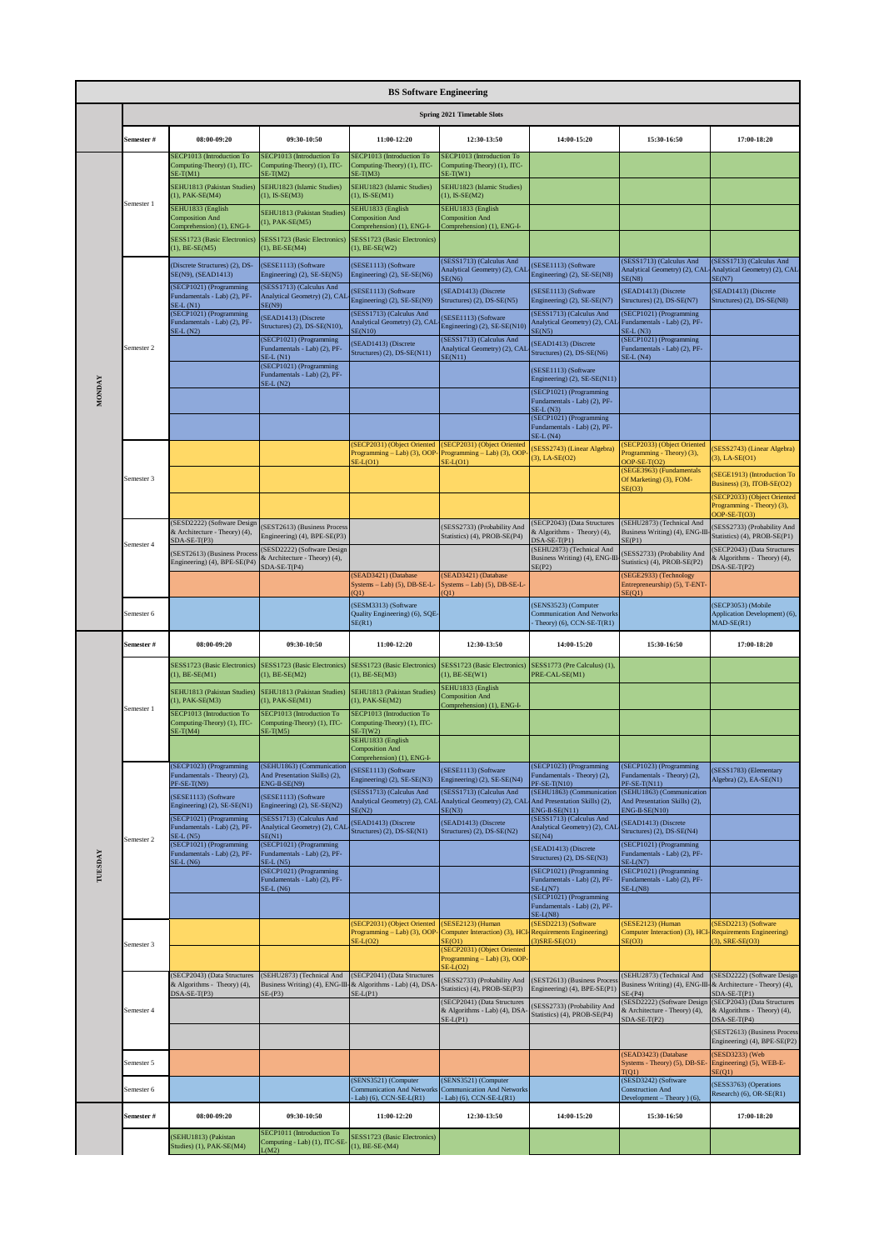|               | <b>BS Software Engineering</b> |                                                                                        |                                                                                                        |                                                                                   |                                                                           |                                                                                           |                                                                                      |                                                                                |  |  |
|---------------|--------------------------------|----------------------------------------------------------------------------------------|--------------------------------------------------------------------------------------------------------|-----------------------------------------------------------------------------------|---------------------------------------------------------------------------|-------------------------------------------------------------------------------------------|--------------------------------------------------------------------------------------|--------------------------------------------------------------------------------|--|--|
|               |                                |                                                                                        |                                                                                                        |                                                                                   | Spring 2021 Timetable Slots                                               |                                                                                           |                                                                                      |                                                                                |  |  |
|               | Semester #                     | 08:00-09:20                                                                            | 09:30-10:50                                                                                            | 11:00-12:20                                                                       | 12:30-13:50                                                               | 14:00-15:20                                                                               | 15:30-16:50                                                                          | 17:00-18:20                                                                    |  |  |
|               |                                | SECP1013 (Introduction To<br>Computing-Theory) (1), ITC-<br>$SE-T(M1)$                 | SECP1013 (Introduction To<br>Computing-Theory) (1), ITC-<br>$SE-T(M2)$                                 | SECP1013 (Introduction To<br>Computing-Theory) (1), ITC-<br>$SE-T(M3)$            | SECP1013 (Introduction To<br>Computing-Theory) (1), ITC-<br>$SE-T(W1)$    |                                                                                           |                                                                                      |                                                                                |  |  |
|               |                                | SEHU1813 (Pakistan Studies)<br>(1), PAK-SE(M4)                                         | SEHU1823 (Islamic Studies)<br>$(1)$ , IS-SE $(M3)$                                                     | SEHU1823 (Islamic Studies)<br>$(1)$ , IS-SE $(M1)$                                | SEHU1823 (Islamic Studies)<br>$(1)$ , IS-SE $(M2)$                        |                                                                                           |                                                                                      |                                                                                |  |  |
|               | Semester 1                     | SEHU1833 (English<br><b>Composition And</b><br>Comprehension) (1), ENG-I-              | SEHU1813 (Pakistan Studies)<br>$(1)$ , PAK-SE $(M5)$                                                   | SEHU1833 (English<br><b>Composition And</b><br>Comprehension) (1), ENG-I-         | SEHU1833 (English<br><b>Composition And</b><br>Comprehension) (1), ENG-I- |                                                                                           |                                                                                      |                                                                                |  |  |
|               |                                | SESS1723 (Basic Electronics)<br>$(1)$ , BE-SE(M5)                                      | SESS1723 (Basic Electronics)<br>$(1)$ , BE-SE(M4)                                                      | SESS1723 (Basic Electronics)<br>$(1)$ , BE-SE(W2)                                 |                                                                           |                                                                                           |                                                                                      |                                                                                |  |  |
|               |                                | (Discrete Structures) (2), DS-<br>SE(N9), (SEAD1413)                                   | (SESE1113) (Software<br>Engineering) (2), SE-SE(N5)                                                    | (SESE1113) (Software<br>Engineering) (2), SE-SE(N6)                               | SESS1713) (Calculus And<br>Analytical Geometry) (2), CAI<br>SE(N6)        | (SESE1113) (Software<br>Engineering) (2), SE-SE(N8)                                       | (SESS1713) (Calculus And<br>Analytical Geometry) (2), CAL<br>E(N8)                   | SESS1713) (Calculus And<br>Analytical Geometry) (2), CAL<br>SE(N7)             |  |  |
|               |                                | (SECP1021) (Programming<br>Fundamentals - Lab) (2), PF-<br>$SE-L(N1)$                  | (SESS1713) (Calculus And<br>Analytical Geometry) (2), CAL<br>SE(N9)                                    | (SESE1113) (Software<br>Engineering) (2), SE-SE(N9)                               | SEAD1413) (Discrete<br>Structures) (2), DS-SE(N5)                         | (SESE1113) (Software<br>Engineering) (2), SE-SE(N7)                                       | SEAD1413) (Discrete<br>Structures) (2), DS-SE(N7)                                    | SEAD1413) (Discrete<br>Structures) (2), DS-SE(N8)                              |  |  |
|               |                                | (SECP1021) (Programming<br>Fundamentals - Lab) (2), PF-<br>$SE-L(N2)$                  | (SEAD1413) (Discrete<br>Structures) (2), DS-SE(N10),                                                   | (SESS1713) (Calculus And<br>Analytical Geometry) (2), CAI<br><b>SE(N10)</b>       | SESE1113) (Software<br>Engineering) (2), SE-SE(N10)                       | (SESS1713) (Calculus And<br>Analytical Geometry) (2), CAL<br>SE(N5)                       | (SECP1021) (Programming<br>Fundamentals - Lab) (2), PF-<br>$SE-L(N3)$                |                                                                                |  |  |
|               | Semester 2                     |                                                                                        | (SECP1021) (Programming<br>Fundamentals - Lab) (2), PF-<br>$SE-L(N1)$                                  | (SEAD1413) (Discrete<br>Structures) (2), DS-SE(N11)                               | (SESS1713) (Calculus And<br>Analytical Geometry) (2), CAI<br>SE(N11)      | (SEAD1413) (Discrete<br>Structures) (2), DS-SE(N6)                                        | (SECP1021) (Programming<br>Fundamentals - Lab) (2), PF-<br>$E-L(N4)$                 |                                                                                |  |  |
|               |                                |                                                                                        | (SECP1021) (Programming<br>Fundamentals - Lab) (2), PF-<br>$SE-L(N2)$                                  |                                                                                   |                                                                           | (SESE1113) (Software<br>Engineering) (2), SE-SE(N11)                                      |                                                                                      |                                                                                |  |  |
| <b>MONDAY</b> |                                |                                                                                        |                                                                                                        |                                                                                   |                                                                           | (SECP1021) (Programming<br>Fundamentals - Lab) (2), PF-                                   |                                                                                      |                                                                                |  |  |
|               |                                |                                                                                        |                                                                                                        |                                                                                   |                                                                           | $SE-L(N3)$<br>(SECP1021) (Programming<br>Fundamentals - Lab) (2), PF-                     |                                                                                      |                                                                                |  |  |
|               |                                |                                                                                        |                                                                                                        | SECP2031) (Object Oriented<br>Programming - Lab) (3), OOP-                        | (SECP2031) (Object Oriented<br>Programming - Lab) (3), OOP                | $SE-L(N4)$<br>SESS2743) (Linear Algebra)                                                  | SECP2033) (Object Oriented<br>Programming - Theory) (3),                             | SESS2743) (Linear Algebra)                                                     |  |  |
|               | Semester 3                     |                                                                                        |                                                                                                        | $SE-L(O1)$                                                                        | $SE-L(O1)$                                                                | $(3)$ , LA-SE $(O2)$                                                                      | $DOP-SE-T(O2)$<br>(SEGE3963) (Fundamentals<br>Of Marketing) (3), FOM-                | $(3)$ , LA-SE $(O1)$<br>SEGE1913) (Introduction To                             |  |  |
|               |                                |                                                                                        |                                                                                                        |                                                                                   |                                                                           |                                                                                           | E(O3)                                                                                | Business) (3), ITOB-SE(O2)<br>(SECP2033) (Object Oriented                      |  |  |
|               |                                | SESD2222) (Software Design                                                             | SEST2613) (Business Process                                                                            |                                                                                   | (SESS2733) (Probability And                                               | (SECP2043) (Data Structures                                                               | (SEHU2873) (Technical And                                                            | Programming - Theory) (3),<br>$OOP-SE-T(O3)$<br>SESS2733) (Probability And     |  |  |
|               | Semester 4                     | & Architecture - Theory) (4),<br>SDA-SE-T(P3)                                          | Engineering) (4), BPE-SE(P3)<br>(SESD2222) (Software Design                                            |                                                                                   | Statistics) (4), PROB-SE(P4)                                              | & Algorithms - Theory) (4),<br>$DSA-SE-T(P1)$<br>(SEHU2873) (Technical And                | Business Writing) (4), ENG-III<br>E(PI)                                              | Statistics) (4), PROB-SE(P1)<br>SECP2043) (Data Structures                     |  |  |
|               |                                | SEST2613) (Business Proces<br>Engineering) (4), BPE-SE(P4)                             | & Architecture - Theory) (4),<br>$SDA-SE-T(P4)$                                                        | (SEAD3421) (Database                                                              | SEAD3421) (Database                                                       | Business Writing) (4), ENG-III-<br>SE(P2)                                                 | SESS2733) (Probability And<br>Statistics) (4), PROB-SE(P2)<br>(SEGE2933) (Technology | & Algorithms - Theory) (4),<br>$DSA-SE-T(P2)$                                  |  |  |
|               |                                |                                                                                        |                                                                                                        | Systems - Lab) (5), DB-SE-L-<br>O1                                                | Systems - Lab) (5), DB-SE-L-<br>(01)                                      |                                                                                           | Entrepreneurship) (5), T-ENT<br>SE(01)                                               |                                                                                |  |  |
|               | Semester 6                     |                                                                                        |                                                                                                        | (SESM3313) (Software<br>Quality Engineering) (6), SQE-<br>SE(R1)                  |                                                                           | (SENS3523) (Computer<br><b>Communication And Networks</b><br>Theory) $(6)$ , CCN-SE-T(R1) |                                                                                      | (SECP3053) (Mobile<br>Application Development) (6),<br>$MAD-SE(R1)$            |  |  |
|               | Semester #                     | 08:00-09:20                                                                            | 09:30-10:50                                                                                            | 11:00-12:20                                                                       | 12:30-13:50                                                               | 14:00-15:20                                                                               | 15:30-16:50                                                                          | 17:00-18:20                                                                    |  |  |
|               |                                | <b>SESS1723 (Basic Electronics</b><br>$(1)$ , BE-SE(M1)                                | SESS1723 (Basic Electronics)<br>$(1)$ , BE-SE(M2)                                                      | SESS1723 (Basic Electronics)<br>$(1)$ , BE-SE(M3)                                 | SESS1723 (Basic Electronics)<br>$(1)$ , BE-SE(W1)                         | SESS1773 (Pre Calculus) (1),<br>PRE-CAL-SE(M1)                                            |                                                                                      |                                                                                |  |  |
|               | Semester 1                     | SEHU1813 (Pakistan Studies)<br>1), PAK-SE(M3)                                          | SEHU1813 (Pakistan Studies)<br>(1), PAK-SE(M1)                                                         | SEHU1813 (Pakistan Studies)<br>(1), PAK-SE(M2)                                    | SEHU1833 (English<br><b>Composition And</b><br>Comprehension) (1), ENG-I- |                                                                                           |                                                                                      |                                                                                |  |  |
|               |                                | SECP1013 (Introduction To<br>Computing-Theory) (1), ITC-                               | SECP1013 (Introduction To<br>Computing-Theory) (1), ITC-                                               | SECP1013 (Introduction To<br>Computing-Theory) (1), ITC-                          |                                                                           |                                                                                           |                                                                                      |                                                                                |  |  |
|               |                                | $SE-T(M4)$                                                                             | $SE-T(M5)$                                                                                             | $SE-T(W2)$<br>SEHU1833 (English<br><b>Composition And</b>                         |                                                                           |                                                                                           |                                                                                      |                                                                                |  |  |
|               |                                | SECP1023) (Programming<br>Fundamentals - Theory) (2),                                  | (SEHU1863) (Communication<br>And Presentation Skills) (2),                                             | Comprehension) (1), ENG-I-<br>(SESE1113) (Software<br>Engineering) (2), SE-SE(N3) | (SESE1113) (Software<br>Engineering) (2), SE-SE(N4)                       | (SECP1023) (Programming<br>Fundamentals - Theory) (2),                                    | SECP1023) (Programming<br>Fundamentals - Theory) (2),                                | (SESS1783) (Elementary<br>Algebra) (2), EA-SE(N1)                              |  |  |
|               |                                | $PF-SE-T(N9)$<br>(SESE1113) (Software                                                  | $ENG-II-SE(N9)$<br>(SESE1113) (Software                                                                | (SESS1713) (Calculus And<br>Analytical Geometry) (2), CAL                         | (SESS1713) (Calculus And<br>Analytical Geometry) (2), CAI                 | PF-SE-T(N10)<br>(SEHU1863) (Communication<br>And Presentation Skills) (2),                | $PFSE-T(N11)$<br>(SEHU1863) (Communication<br>And Presentation Skills) (2),          |                                                                                |  |  |
|               |                                | Engineering) (2), SE-SE(N1)<br>(SECP1021) (Programming<br>Fundamentals - Lab) (2), PF- | Engineering) (2), SE-SE(N2)<br>(SESS1713) (Calculus And<br>Analytical Geometry) (2), CAL               | SE(N2)<br>(SEAD1413) (Discrete                                                    | SE(N3)<br>(SEAD1413) (Discrete                                            | ENG-II-SE(N11)<br>(SESS1713) (Calculus And<br>Analytical Geometry) (2), CAL               | $ENG-II-SE(N10)$<br>SEAD1413) (Discrete                                              |                                                                                |  |  |
|               | Semester 2                     | $SE-L(N5)$<br>(SECP1021) (Programming                                                  | SE(N1)<br>(SECP1021) (Programming                                                                      | Structures) (2), DS-SE(N1)                                                        | Structures) (2), DS-SE(N2)                                                | SE(N4)<br>(SEAD1413) (Discrete                                                            | Structures) (2), DS-SE(N4)<br>(SECP1021) (Programming                                |                                                                                |  |  |
| TUESDAY       |                                | Fundamentals - Lab) (2), PF-<br>$E-L(N6)$                                              | Fundamentals - Lab) (2), PF-<br>$SE-L(N5)$<br>(SECP1021) (Programming                                  |                                                                                   |                                                                           | Structures) (2), DS-SE(N3)<br>(SECP1021) (Programming                                     | Fundamentals - Lab) (2), PF-<br>$E-L(N7)$<br>(SECP1021) (Programming                 |                                                                                |  |  |
|               |                                |                                                                                        | Fundamentals - Lab) (2), PF-<br>$SE-L(N6)$                                                             |                                                                                   |                                                                           | Fundamentals - Lab) (2), PF-<br>$SE-L(N7)$<br>(SECP1021) (Programming                     | Fundamentals - Lab) (2), PF-<br>$E-L(N8)$                                            |                                                                                |  |  |
|               |                                |                                                                                        |                                                                                                        | (SECP2031) (Object Oriented                                                       | (SESE2123) (Human                                                         | Fundamentals - Lab) (2), PF-<br>$SE-L(N8)$<br>(SESD2213) (Software                        | SESE2123) (Human                                                                     | SESD2213) (Software                                                            |  |  |
|               | Semester 3                     |                                                                                        |                                                                                                        | Programming - Lab) (3), OOP<br>$SE-L(O2)$                                         | Computer Interaction) (3), HC<br><b>ECO1</b>                              | <b>Requirements Engineering)</b><br>$3)$ SRE-SE(O1)                                       | Computer Interaction) (3), HCI-<br>SE(03)                                            | <b>Requirements Engineering)</b><br>$(3)$ , SRE-SE $(O3)$                      |  |  |
|               |                                |                                                                                        |                                                                                                        |                                                                                   | (SECP2031) (Object Oriented<br>Programming - Lab) (3), OOP<br>$SE-L(O2)$  |                                                                                           |                                                                                      |                                                                                |  |  |
|               |                                | (SECP2043) (Data Structures<br>& Algorithms - Theory) (4),<br>$DSA-SE-T(P3)$           | (SEHU2873) (Technical And<br>Business Writing) (4), ENG-III-& Algorithms - Lab) (4), DSA-<br>$SE-(P3)$ | (SECP2041) (Data Structures<br>$SE-L(P1)$                                         | (SESS2733) (Probability And<br>Statistics) (4), PROB-SE(P3)               | (SEST2613) (Business Process<br>Engineering) (4), BPE-SE(P1)                              | (SEHU2873) (Technical And<br>Business Writing) (4), ENG-III-<br>$E-(P4)$             | (SESD2222) (Software Design<br>& Architecture - Theory) (4),<br>$SDA-SE-T(P1)$ |  |  |
|               | Semester 4                     |                                                                                        |                                                                                                        |                                                                                   | (SECP2041) (Data Structures<br>& Algorithms - Lab) (4), DSA<br>$SE-L(PI)$ | SESS2733) (Probability And<br>Statistics) (4), PROB-SE(P4)                                | SESD2222) (Software Design<br>& Architecture - Theory) (4),<br>$SDA-SE-T(P2)$        | (SECP2043) (Data Structures<br>& Algorithms - Theory) (4),<br>$DSA-SE-T(P4)$   |  |  |
|               |                                |                                                                                        |                                                                                                        |                                                                                   |                                                                           |                                                                                           |                                                                                      | (SEST2613) (Business Process<br>Engineering) (4), BPE-SE(P2)                   |  |  |
|               |                                |                                                                                        |                                                                                                        |                                                                                   |                                                                           |                                                                                           | SEAD3423) (Database                                                                  | SESD3233) (Web                                                                 |  |  |
|               | Semester 5                     |                                                                                        |                                                                                                        |                                                                                   |                                                                           |                                                                                           | Systems - Theory) (5), DB-SE                                                         | Engineering) (5), WEB-E-                                                       |  |  |
|               | Semester 6                     |                                                                                        |                                                                                                        | (SENS3521) (Computer                                                              | SENS3521) (Computer                                                       |                                                                                           | T(Q1)<br>(SESD3242) (Software                                                        | SE(Q1)<br>(SESS3763) (Operations                                               |  |  |
|               |                                |                                                                                        |                                                                                                        | <b>Communication And Networks</b><br>Lab) $(6)$ , CCN-SE-L(R1)                    | <b>Communication And Networks</b><br>Lab) (6), CCN-SE-L(R1)               |                                                                                           | <b>Construction And</b><br>Development - Theory ) (6),                               | Research) (6), OR-SE(R1)                                                       |  |  |
|               | Semester #                     | 08:00-09:20<br>(SEHU1813) (Pakistan                                                    | 09:30-10:50<br>SECP1011 (Introduction To<br>Computing - Lab) (1), ITC-SE-                              | 11:00-12:20<br>SESS1723 (Basic Electronics)                                       | 12:30-13:50                                                               | 14:00-15:20                                                                               | 15:30-16:50                                                                          | 17:00-18:20                                                                    |  |  |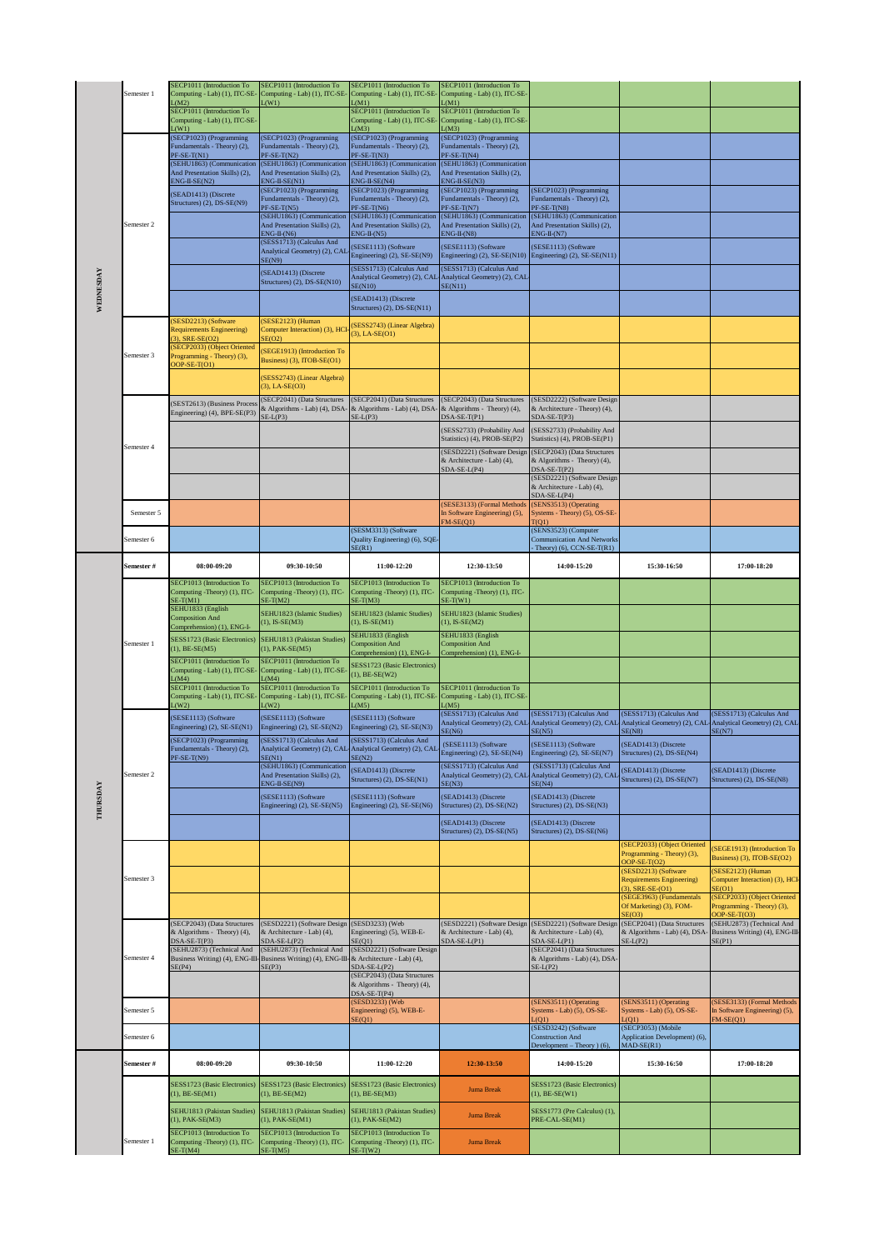|           | Semester 1 | SECP1011 (Introduction To<br>Computing - Lab) (1), ITC-SE-<br>L(M2)          | SECP1011 (Introduction To<br>Computing - Lab) (1), ITC-SE-<br>L(W1)                                                                   | SECP1011 (Introduction To<br>Computing - Lab) (1), ITC-SE-<br>L(M1)                         | SECP1011 (Introduction To<br>Computing - Lab) (1), ITC-SE-<br>L(M1)          |                                                                              |                                                                              |                                                                              |
|-----------|------------|------------------------------------------------------------------------------|---------------------------------------------------------------------------------------------------------------------------------------|---------------------------------------------------------------------------------------------|------------------------------------------------------------------------------|------------------------------------------------------------------------------|------------------------------------------------------------------------------|------------------------------------------------------------------------------|
|           |            | SECP1011 (Introduction To<br>Computing - Lab) (1), ITC-SE-                   |                                                                                                                                       | SECP1011 (Introduction To<br>Computing - Lab) (1), ITC-SE-                                  | SECP1011 (Introduction To<br>Computing - Lab) (1), ITC-SE-                   |                                                                              |                                                                              |                                                                              |
|           |            | (W1)<br>(SECP1023) (Programming<br>Fundamentals - Theory) (2),               | (SECP1023) (Programming<br>Fundamentals - Theory) (2),                                                                                | (M3)<br>(SECP1023) (Programming<br>Fundamentals - Theory) (2),                              | (M3)<br>(SECP1023) (Programming<br>Fundamentals - Theory) (2),               |                                                                              |                                                                              |                                                                              |
|           |            | $PF-SE-T(N1)$<br>(SEHU1863) (Communication<br>And Presentation Skills) (2),  | $PF-SE-T(N2)$<br>(SEHU1863) (Communication<br>And Presentation Skills) (2),                                                           | $PF-SE-T(N3)$<br>(SEHU1863) (Communication<br>And Presentation Skills) (2),                 | $PF-SE-T(N4)$<br>(SEHU1863) (Communication<br>And Presentation Skills) (2),  |                                                                              |                                                                              |                                                                              |
|           |            | $ENG-II-SE(N2)$<br>(SEAD1413) (Discrete                                      | $ENG-II-SE(N1)$<br>(SECP1023) (Programming<br>Fundamentals - Theory) (2),                                                             | $ENG-II-SE(N4)$<br>(SECP1023) (Programming<br>Fundamentals - Theory) (2),                   | $ENG-II-SE(N3)$<br>(SECP1023) (Programming<br>Fundamentals - Theory) (2),    | (SECP1023) (Programming<br>Fundamentals - Theory) (2),                       |                                                                              |                                                                              |
|           | Semester 2 | Structures) (2), DS-SE(N9)                                                   | $PF-SE-T(N5)$<br>(SEHU1863) (Communication                                                                                            | $PF-SE-T(N6)$<br>(SEHU1863) (Communication                                                  | $PF-SE-T(N7)$<br>(SEHU1863) (Communication                                   | $PF-SE-T(N8)$<br>(SEHU1863) (Communication                                   |                                                                              |                                                                              |
|           |            |                                                                              | And Presentation Skills) (2),<br>$ENG-II-(N6)$<br>(SESS1713) (Calculus And                                                            | And Presentation Skills) (2),<br>$ENG-II-(N5)$<br>SESE1113) (Software                       | And Presentation Skills) (2),<br>$ENG-II-(N8)$<br>(SESE1113) (Software       | And Presentation Skills) (2),<br>$ENG-II-(N7)$<br>(SESE1113) (Software       |                                                                              |                                                                              |
|           |            |                                                                              | Analytical Geometry) (2), CAL<br>SE(N9)<br>(SEAD1413) (Discrete                                                                       | Engineering) (2), SE-SE(N9)<br>(SESS1713) (Calculus And                                     | Engineering) (2), SE-SE(N10)<br>(SESS1713) (Calculus And                     | Engineering) (2), SE-SE(N11)                                                 |                                                                              |                                                                              |
| WEDNESDAY |            |                                                                              | Structures) (2), DS-SE(N10)                                                                                                           | <b>SE(N10)</b>                                                                              | Analytical Geometry) (2), CAL-Analytical Geometry) (2), CAL-<br>SE(N11)      |                                                                              |                                                                              |                                                                              |
|           |            | SESD2213) (Software                                                          | (SESE2123) (Human                                                                                                                     | SEAD1413) (Discrete<br>Structures) (2), DS-SE(N11)                                          |                                                                              |                                                                              |                                                                              |                                                                              |
|           |            | <b>Requirements Engineering)</b><br>3), SRE-SE(O2)                           | Computer Interaction) (3), HCI<br>SE(O2)                                                                                              | SESS2743) (Linear Algebra)<br>$(3)$ , LA-SE $(O1)$                                          |                                                                              |                                                                              |                                                                              |                                                                              |
|           | Semester 3 | (SECP2033) (Object Oriented<br>Programming - Theory) (3),<br>$DOP-SE-T(O1)$  | (SEGE1913) (Introduction To<br>Business) (3), ITOB-SE(O1)                                                                             |                                                                                             |                                                                              |                                                                              |                                                                              |                                                                              |
|           |            |                                                                              | (SESS2743) (Linear Algebra)<br>$(3)$ , LA-SE $(O3)$                                                                                   |                                                                                             |                                                                              |                                                                              |                                                                              |                                                                              |
|           |            | (SEST2613) (Business Proces<br>Engineering) (4), BPE-SE(P3)                  | (SECP2041) (Data Structures<br>& Algorithms - Lab) (4), DSA-<br>$SE-L(P3)$                                                            | (SECP2041) (Data Structures<br>& Algorithms - Lab) (4), DSA-<br>$SE-L(P3)$                  | (SECP2043) (Data Structures<br>& Algorithms - Theory) (4),<br>$DSA-SE-T(P1)$ | (SESD2222) (Software Design<br>& Architecture - Theory) (4),<br>SDA-SE-T(P3) |                                                                              |                                                                              |
|           |            |                                                                              |                                                                                                                                       |                                                                                             | (SESS2733) (Probability And<br>Statistics) (4), PROB-SE(P2)                  | SESS2733) (Probability And<br>Statistics) (4), PROB-SE(P1)                   |                                                                              |                                                                              |
|           | Semester 4 |                                                                              |                                                                                                                                       |                                                                                             | (SESD2221) (Software Design<br>& Architecture - Lab) (4),                    | (SECP2043) (Data Structures<br>& Algorithms - Theory) (4),                   |                                                                              |                                                                              |
|           |            |                                                                              |                                                                                                                                       |                                                                                             | $SDA-SE-L(P4)$                                                               | $DSA-SE-T(P2)$<br>(SESD2221) (Software Design<br>& Architecture - Lab) (4),  |                                                                              |                                                                              |
|           | Semester 5 |                                                                              |                                                                                                                                       |                                                                                             | (SESE3133) (Formal Methods<br>In Software Engineering) (5),                  | SDA-SE-L(P4)<br>(SENS3513) (Operating<br>Systems - Theory) (5), OS-SE-       |                                                                              |                                                                              |
|           | Semester 6 |                                                                              |                                                                                                                                       | (SESM3313) (Software<br>Quality Engineering) (6), SQE-                                      | $FM-SE(Q1)$                                                                  | T(Q1)<br>(SENS3523) (Computer<br><b>Communication And Networks</b>           |                                                                              |                                                                              |
|           | Semester # | 08:00-09:20                                                                  | 09:30-10:50                                                                                                                           | SE(R1)<br>11:00-12:20                                                                       | 12:30-13:50                                                                  | Theory) (6), $CCN-SE-T(R1)$<br>14:00-15:20                                   | 15:30-16:50                                                                  | 17:00-18:20                                                                  |
|           |            | SECP1013 (Introduction To<br>Computing -Theory) (1), ITC-                    | SECP1013 (Introduction To<br>Computing -Theory) (1), ITC-                                                                             | SECP1013 (Introduction To<br>Computing -Theory) (1), ITC-                                   | SECP1013 (Introduction To<br>Computing -Theory) (1), ITC-                    |                                                                              |                                                                              |                                                                              |
|           |            | $SE-T(M1)$<br>SEHU1833 (English<br><b>Composition And</b>                    | $SE-T(M2)$<br>SEHU1823 (Islamic Studies)                                                                                              | $SE-T(M3)$<br>SEHU1823 (Islamic Studies)                                                    | $SE-T(W1)$<br>SEHU1823 (Islamic Studies)                                     |                                                                              |                                                                              |                                                                              |
|           |            |                                                                              | $(1)$ , IS-SE $(M3)$                                                                                                                  |                                                                                             |                                                                              |                                                                              |                                                                              |                                                                              |
|           |            | Comprehension) (1), ENG-I-<br>SESS1723 (Basic Electronics)                   | SEHU1813 (Pakistan Studies)                                                                                                           | $(1)$ , IS-SE $(M1)$<br>SEHU1833 (English                                                   | $(1)$ , IS-SE $(M2)$<br>SEHU1833 (English                                    |                                                                              |                                                                              |                                                                              |
|           | Semester 1 | $(1)$ , BE-SE(M5)<br>SECP1011 (Introduction To                               | (1), PAK-SE(M5)<br>SECP1011 (Introduction To                                                                                          | <b>Composition And</b><br>Comprehension) (1), ENG-I-<br><b>SESS1723</b> (Basic Electronics) | <b>Composition And</b><br>Comprehension) (1), ENG-I-                         |                                                                              |                                                                              |                                                                              |
|           |            | Computing - Lab) (1), ITC-SE-<br>(M4)<br><b>SECP1011</b> (Introduction To    | Computing - Lab) (1), ITC-SE-<br>L(M4)<br>SECP1011 (Introduction To                                                                   | $(1)$ , BE-SE(W2)<br>SECP1011 (Introduction To                                              | SECP1011 (Introduction To                                                    |                                                                              |                                                                              |                                                                              |
|           |            | Computing - Lab) (1), ITC-SE-<br>L(W2)                                       | Computing - Lab) (1), ITC-SE-<br>L(W2)                                                                                                | Computing - Lab) (1), ITC-SE-<br>L(M5)                                                      | Computing - Lab) (1), ITC-SE-<br>L(M5)<br>(SESS1713) (Calculus And           | (SESS1713) (Calculus And                                                     | (SESS1713) (Calculus And                                                     | (SESS1713) (Calculus And                                                     |
|           |            | (SESE1113) (Software<br>Engineering) (2), SE-SE(N1)                          | (SESE1113) (Software<br>Engineering) (2), SE-SE(N2)<br>(SESS1713) (Calculus And                                                       | (SESE1113) (Software<br>Engineering) (2), SE-SE(N3)<br>(SESS1713) (Calculus And             | Analytical Geometry) (2), CAL<br>SE(N6)                                      | SE(N5)                                                                       | Analytical Geometry) (2), CAL-Analytical Geometry) (2), CAL-<br>SE(N8)       | Analytical Geometry) (2), CAL<br>SE(N7)                                      |
|           |            | (SECP1023) (Programming<br>Fundamentals - Theory) (2),<br>PF-SE-T(N9)        | Analytical Geometry) (2), CAL-<br>SE(N1)                                                                                              | Analytical Geometry) (2), CAL-<br>SE(N2)                                                    | (SESE1113) (Software<br>Engineering) (2), SE-SE(N4)                          | (SESE1113) (Software<br>Engineering) (2), SE-SE(N7)                          | (SEAD1413) (Discrete<br>Structures) (2), DS-SE(N4)                           |                                                                              |
|           | Semester 2 |                                                                              | (SEHU1863) (Communication<br>And Presentation Skills) (2),<br>$ENG-II-SE(N9)$                                                         | (SEAD1413) (Discrete<br>Structures) (2), DS-SE(N1)                                          | (SESS1713) (Calculus And<br>Analytical Geometry) (2), CAI<br>SE(N3)          | (SESS1713) (Calculus And<br>Analytical Geometry) (2), CAL<br>SE(N4)          | (SEAD1413) (Discrete<br>Structures) (2), DS-SE(N7)                           | SEAD1413) (Discrete<br>Structures) (2), DS-SE(N8)                            |
|           |            |                                                                              | (SESE1113) (Software<br>Engineering) (2), SE-SE(N5)                                                                                   | SESE1113) (Software<br>Engineering) (2), SE-SE(N6)                                          | SEAD1413) (Discrete<br>Structures) (2), DS-SE(N2)                            | (SEAD1413) (Discrete<br>Structures) (2), DS-SE(N3)                           |                                                                              |                                                                              |
| THURSDAY  |            |                                                                              |                                                                                                                                       |                                                                                             | (SEAD1413) (Discrete<br>Structures) (2), DS-SE(N5)                           | SEAD1413) (Discrete<br>Structures) (2), DS-SE(N6)                            |                                                                              |                                                                              |
|           |            |                                                                              |                                                                                                                                       |                                                                                             |                                                                              |                                                                              | SECP2033) (Object Oriented<br>Programming - Theory) (3),<br>OOP-SE-T(O2)     | SEGE1913) (Introduction To<br>Business) (3), ITOB-SE(O2)                     |
|           | Semester 3 |                                                                              |                                                                                                                                       |                                                                                             |                                                                              |                                                                              | (SESD2213) (Software<br><b>Requirements Engineering)</b><br>3). SRE-SE-(O1). | (SESE2123) (Human<br>Computer Interaction) (3), HCI<br>E(O1)                 |
|           |            |                                                                              |                                                                                                                                       |                                                                                             |                                                                              |                                                                              | (SEGE3963) (Fundamentals<br>Of Marketing) (3), FOM-                          | SECP2033) (Object Oriented<br>Programming - Theory) (3),                     |
|           |            | (SECP2043) (Data Structures<br>& Algorithms - Theory) (4),                   | (SESD2221) (Software Design<br>& Architecture - Lab) (4),                                                                             | (SESD3233) (Web<br>Engineering) (5), WEB-E-                                                 | (SESD2221) (Software Design<br>& Architecture - Lab) (4),                    | (SESD2221) (Software Design<br>& Architecture - Lab) (4),                    | SE(O3)<br>(SECP2041) (Data Structures<br>& Algorithms - Lab) (4), DSA        | $DOP-SE-T(O3)$<br>SEHU2873) (Technical And<br>Business Writing) (4), ENG-III |
|           | Semester 4 | $DSA-SE-T(P3)$<br>(SEHU2873) (Technical And                                  | SDA-SE-L(P2)<br>(SEHU2873) (Technical And<br>Business Writing) (4), ENG-III-Business Writing) (4), ENG-III-& Architecture - Lab) (4), | SE(01)<br>(SESD2221) (Software Design                                                       | $SDA-SE-L(P1)$                                                               | SDA-SE-L(P1)<br>(SECP2041) (Data Structures<br>& Algorithms - Lab) (4), DSA- | $SE-L(P2)$                                                                   | SE(PI)                                                                       |
|           |            | SE(P4)                                                                       | SE(P3)                                                                                                                                | $SDA-SE-L(P2)$<br>(SECP2043) (Data Structures<br>& Algorithms - Theory) (4),                |                                                                              | $SE-L(P2)$                                                                   |                                                                              |                                                                              |
|           | Semester 5 |                                                                              |                                                                                                                                       | $DSA-SE-T(P4)$<br>(SESD3233) (Web<br>Engineering) (5), WEB-E-                               |                                                                              | (SENS3511) (Operating<br>Systems - Lab) (5), OS-SE-                          | (SENS3511) (Operating<br>Systems - Lab) (5), OS-SE-                          | SESE3133) (Formal Methods<br>in Software Engineering) (5),                   |
|           | Semester 6 |                                                                              |                                                                                                                                       | SE(01)                                                                                      |                                                                              | L(O1)<br>(SESD3242) (Software<br><b>Construction And</b>                     | L(O1)<br>(SECP3053) (Mobile<br>Application Development) (6),                 | $M-SE(01)$                                                                   |
|           | Semester # | 08:00-09:20                                                                  | 09:30-10:50                                                                                                                           | 11:00-12:20                                                                                 | 12:30-13:50                                                                  | Development - Theory ) (6).<br>14:00-15:20                                   | $MAD-SE(R1)$<br>15:30-16:50                                                  | 17:00-18:20                                                                  |
|           |            | <b>SESS1723 (Basic Electronics</b>                                           | SESS1723 (Basic Electronics)                                                                                                          | SESS1723 (Basic Electronics)                                                                |                                                                              | SESS1723 (Basic Electronics)                                                 |                                                                              |                                                                              |
|           |            | $(1)$ , BE-SE $(M1)$<br>SEHU1813 (Pakistan Studies)                          | $(1)$ , BE-SE $(M2)$<br>SEHU1813 (Pakistan Studies)                                                                                   | $(1)$ , BE-SE(M3)<br>SEHU1813 (Pakistan Studies)                                            | <b>Juma Break</b>                                                            | $(1)$ , BE-SE(W1)<br>SESS1773 (Pre Calculus) (1),                            |                                                                              |                                                                              |
|           | Semester 1 | (1), PAK-SE(M3)<br>SECP1013 (Introduction To<br>Computing -Theory) (1), ITC- | $(1)$ , PAK-SE $(M1)$<br>SECP1013 (Introduction To<br>Computing -Theory) (1), ITC-                                                    | 1), PAK-SE(M2)<br>SECP1013 (Introduction To<br>Computing -Theory) (1), ITC-                 | <b>Juma Break</b><br><b>Juma Break</b>                                       | PRE-CAL-SE(M1)                                                               |                                                                              |                                                                              |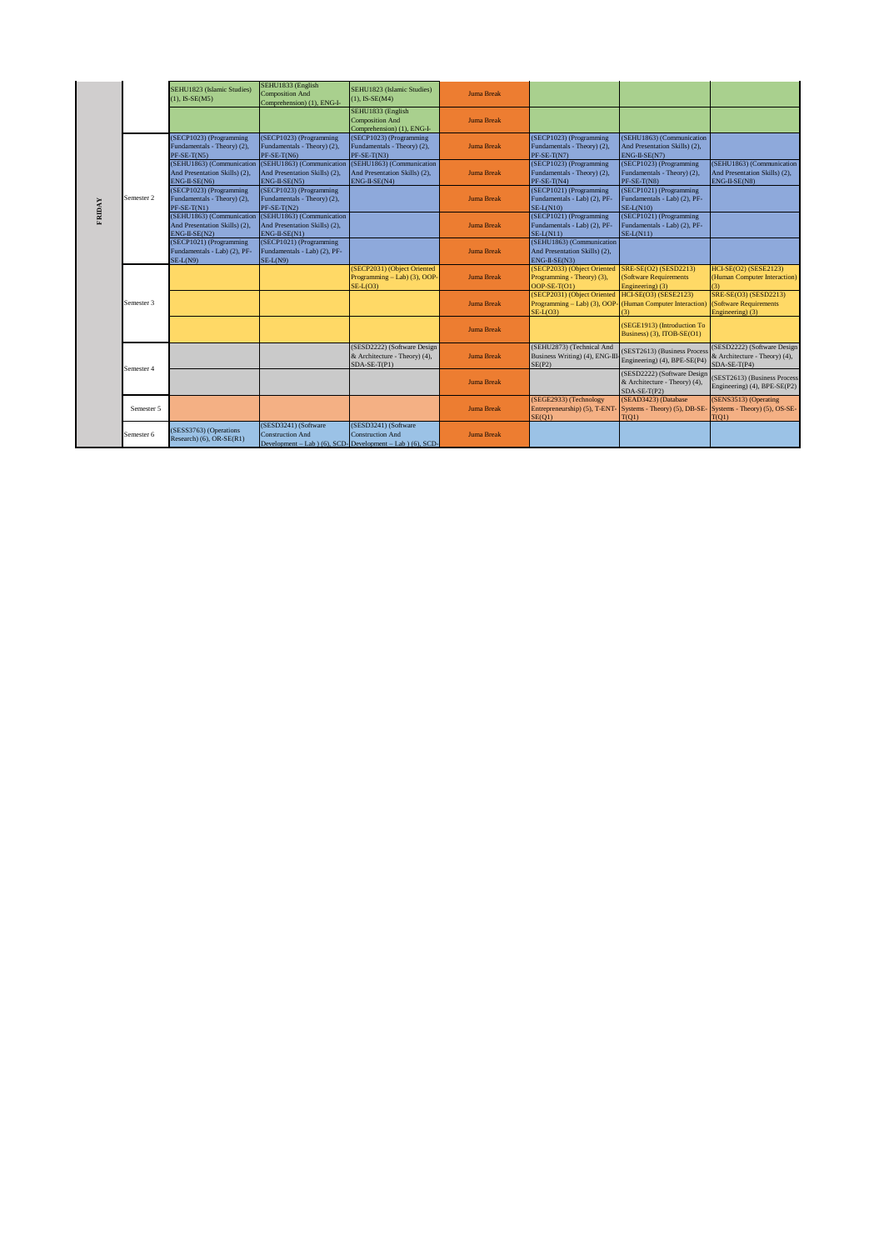|        |            | SEHU1823 (Islamic Studies)<br>$(1)$ , IS-SE $(M5)$                            | SEHU1833 (English<br><b>Composition And</b><br>Comprehension) (1), ENG-I-                                       | SEHU1823 (Islamic Studies)<br>$(1)$ , IS-SE $(M4)$                             | <b>Juma Break</b> |                                                                                                 |                                                                                |                                                                               |
|--------|------------|-------------------------------------------------------------------------------|-----------------------------------------------------------------------------------------------------------------|--------------------------------------------------------------------------------|-------------------|-------------------------------------------------------------------------------------------------|--------------------------------------------------------------------------------|-------------------------------------------------------------------------------|
|        |            |                                                                               |                                                                                                                 | SEHU1833 (English<br><b>Composition And</b><br>Comprehension) (1), ENG-I-      | <b>Juma Break</b> |                                                                                                 |                                                                                |                                                                               |
|        |            | (SECP1023) (Programming<br>Fundamentals - Theory) (2),<br>$PF-SE-T(N5)$       | (SECP1023) (Programming<br>Fundamentals - Theory) (2),<br>PF-SE-T(N6)                                           | (SECP1023) (Programming<br>Fundamentals - Theory) (2),<br>$PF-SE-T(N3)$        | <b>Juma Break</b> | (SECP1023) (Programming<br>Fundamentals - Theory) (2),<br>PF-SE-T(N7)                           | (SEHU1863) (Communication<br>And Presentation Skills) (2),<br>ENG-II-SE(N7)    |                                                                               |
|        |            | (SEHU1863) (Communication<br>And Presentation Skills) (2),<br>ENG-II-SE(N6)   | (SEHU1863) (Communication<br>And Presentation Skills) (2),<br>ENG-II-SE(N5)                                     | (SEHU1863) (Communication<br>And Presentation Skills) (2),<br>ENG-II-SE(N4)    | <b>Juma Break</b> | (SECP1023) (Programming<br>Fundamentals - Theory) (2),<br>PF-SE-T(N4)                           | (SECP1023) (Programming<br>Fundamentals - Theory) (2),<br>PF-SE-T(N8)          | (SEHU1863) (Communication<br>And Presentation Skills) (2),<br>ENG-II-SE(N8)   |
| FRIDAY | Semester 2 | (SECP1023) (Programming<br>Fundamentals - Theory) (2),<br>PF-SE-T(N1)         | (SECP1023) (Programming<br>Fundamentals - Theory) (2),<br>$PF-SE-T(N2)$                                         |                                                                                | <b>Juma Break</b> | (SECP1021) (Programming<br>Fundamentals - Lab) (2), PF-<br>$SE-L(N10)$                          | (SECP1021) (Programming<br>Fundamentals - Lab) (2), PF-<br>$SE-L(N10)$         |                                                                               |
|        |            | (SEHU1863) (Communication<br>And Presentation Skills) (2),<br>$ENG-II-SE(N2)$ | (SEHU1863) (Communication<br>And Presentation Skills) (2),<br>ENG-II-SE(N1)                                     |                                                                                | <b>Juma Break</b> | (SECP1021) (Programming<br>Fundamentals - Lab) (2), PF-<br>$SE-L(N11)$                          | (SECP1021) (Programming<br>Fundamentals - Lab) (2), PF-<br>$SE-L(N11)$         |                                                                               |
|        |            | (SECP1021) (Programming<br>Fundamentals - Lab) (2), PF-<br>SE-L(N9)           | (SECP1021) (Programming<br>Fundamentals - Lab) (2), PF-<br>SE-L(N9)                                             |                                                                                | <b>Juma Break</b> | (SEHU1863) (Communication<br>And Presentation Skills) (2),<br>ENG-II-SE(N3)                     |                                                                                |                                                                               |
|        |            |                                                                               |                                                                                                                 | (SECP2031) (Object Oriented<br>Programming - Lab) (3), OOP-<br>$SE-L(O3)$      | <b>Juma Break</b> | (SECP2033) (Object Oriented<br>Programming - Theory) (3),<br>OOP-SE-T(O1)                       | SRE-SE(O2) (SESD2213)<br>(Software Requirements<br>Engineering) (3)            | <b>HCI-SE(O2) (SESE2123)</b><br>(Human Computer Interaction)<br>3)            |
|        | Semester 3 |                                                                               |                                                                                                                 |                                                                                | <b>Juma Break</b> | (SECP2031) (Object Oriented HCI-SE(O3) (SESE2123)<br>Programming - Lab) (3), OOP-<br>$SE-L(O3)$ | (Human Computer Interaction)<br>(3)                                            | SRE-SE(O3) (SESD2213)<br>(Software Requirements)<br>Engineering) (3)          |
|        |            |                                                                               |                                                                                                                 |                                                                                | <b>Juma Break</b> |                                                                                                 | (SEGE1913) (Introduction To<br>Business) (3), ITOB-SE(O1)                      |                                                                               |
|        | Semester 4 |                                                                               |                                                                                                                 | (SESD2222) (Software Design<br>& Architecture - Theory) (4),<br>$SDA-SE-T(P1)$ | <b>Juma Break</b> | (SEHU2873) (Technical And<br>Business Writing) (4), ENG-III<br>SE(P2)                           | (SEST2613) (Business Process<br>Engineering) (4), BPE-SE(P4)                   | (SESD2222) (Software Design)<br>& Architecture - Theory) (4),<br>SDA-SE-T(P4) |
|        |            |                                                                               |                                                                                                                 |                                                                                | <b>Juma Break</b> |                                                                                                 | (SESD2222) (Software Design<br>& Architecture - Theory) (4),<br>$SDA-SE-T(P2)$ | (SEST2613) (Business Process<br>Engineering) (4), BPE-SE(P2)                  |
|        | Semester 5 |                                                                               |                                                                                                                 |                                                                                | <b>Juma Break</b> | (SEGE2933) (Technology<br>Entrepreneurship) (5), T-ENT-<br>SE(O1)                               | (SEAD3423) (Database<br>Systems - Theory) (5), DB-SE-<br>T(Q1)                 | (SENS3513) (Operating<br>Systems - Theory) (5), OS-SE-<br>T(Q1)               |
|        | Semester 6 | (SESS3763) (Operations<br>Research) (6), OR-SE(R1)                            | (SESD3241) (Software<br><b>Construction And</b><br>Development - Lab $(6)$ , SCD-Development - Lab $(6)$ , SCD- | (SESD3241) (Software<br><b>Construction And</b>                                | <b>Juma Break</b> |                                                                                                 |                                                                                |                                                                               |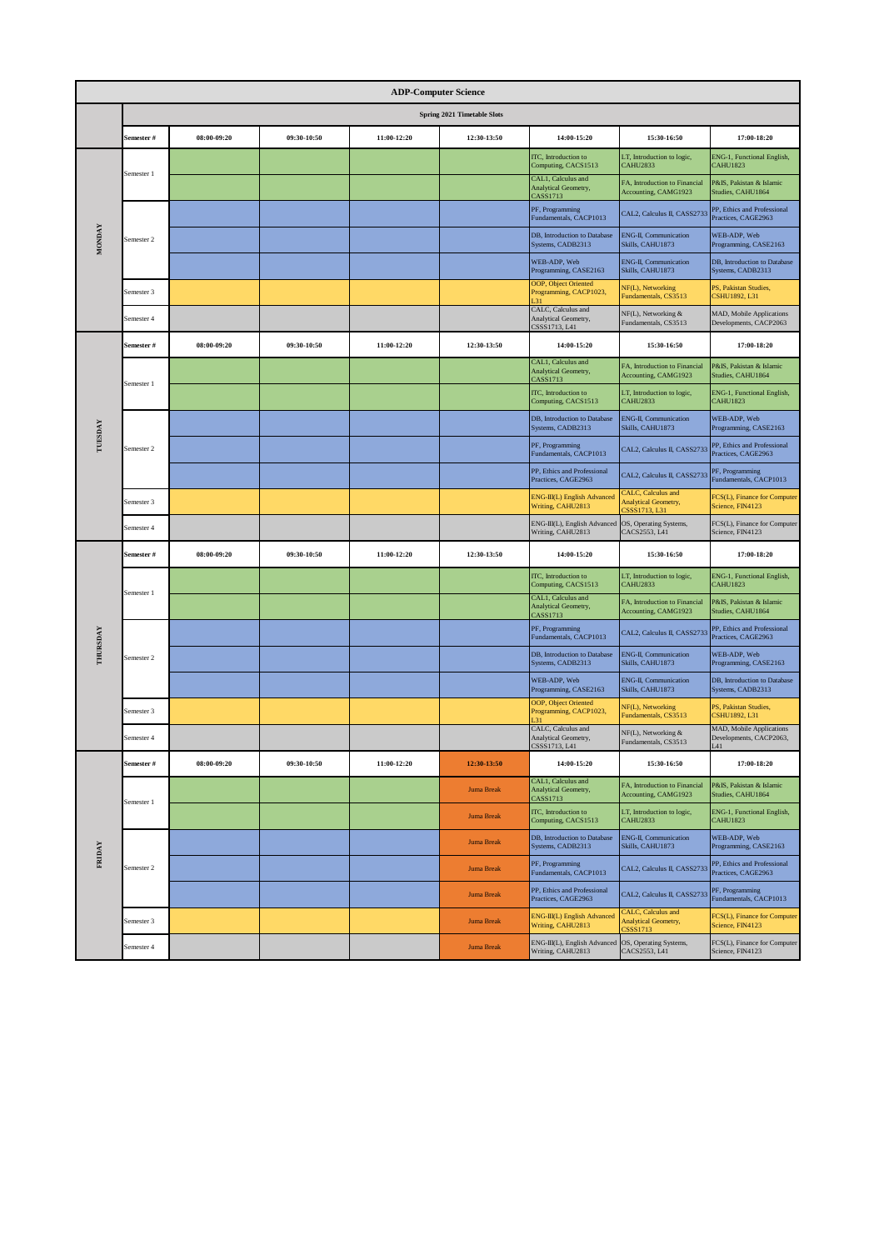|                 | <b>ADP-Computer Science</b> |             |             |             |                             |                                                               |                                                                     |                                                            |  |  |
|-----------------|-----------------------------|-------------|-------------|-------------|-----------------------------|---------------------------------------------------------------|---------------------------------------------------------------------|------------------------------------------------------------|--|--|
|                 |                             |             |             |             | Spring 2021 Timetable Slots |                                                               |                                                                     |                                                            |  |  |
|                 | Semester #                  | 08:00-09:20 | 09:30-10:50 | 11:00-12:20 | 12:30-13:50                 | 14:00-15:20                                                   | 15:30-16:50                                                         | 17:00-18:20                                                |  |  |
|                 |                             |             |             |             |                             | ITC, Introduction to<br>Computing, CACS1513                   | LT, Introduction to logic,<br><b>CAHU2833</b>                       | ENG-1, Functional English,<br><b>CAHU1823</b>              |  |  |
|                 | Semester 1                  |             |             |             |                             | CAL1, Calculus and<br><b>Analytical Geometry.</b><br>CASS1713 | FA, Introduction to Financial<br>Accounting, CAMG1923               | P&IS, Pakistan & Islamic<br>Studies, CAHU1864              |  |  |
|                 |                             |             |             |             |                             | PF, Programming<br>Fundamentals, CACP1013                     | CAL2, Calculus II, CASS2733                                         | PP, Ethics and Professional<br>Practices, CAGE2963         |  |  |
| <b>MONDAY</b>   | Semester 2                  |             |             |             |                             | DB, Introduction to Database<br>Systems, CADB2313             | <b>ENG-II</b> , Communication<br>Skills, CAHU1873                   | WEB-ADP, Web<br>Programming, CASE2163                      |  |  |
|                 |                             |             |             |             |                             | WEB-ADP, Web<br>Programming, CASE2163                         | <b>ENG-II, Communication</b><br>Skills, CAHU1873                    | DB, Introduction to Database<br>Systems, CADB2313          |  |  |
|                 | Semester 3                  |             |             |             |                             | OOP, Object Oriented<br>Programming, CACP1023,                | NF(L), Networking<br>Fundamentals, CS3513                           | PS, Pakistan Studies,<br>CSHU1892, L31                     |  |  |
|                 | Semester 4                  |             |             |             |                             | CALC, Calculus and<br>Analytical Geometry,<br>CSSS1713, L41   | NF(L), Networking &<br>Fundamentals, CS3513                         | MAD, Mobile Applications<br>Developments, CACP2063         |  |  |
|                 | Semester #                  | 08:00-09:20 | 09:30-10:50 | 11:00-12:20 | 12:30-13:50                 | 14:00-15:20                                                   | 15:30-16:50                                                         | 17:00-18:20                                                |  |  |
|                 | Semester 1                  |             |             |             |                             | CAL1, Calculus and<br>Analytical Geometry,<br>CASS1713        | FA, Introduction to Financial<br>Accounting, CAMG1923               | P&IS, Pakistan & Islamic<br>Studies, CAHU1864              |  |  |
|                 |                             |             |             |             |                             | ITC, Introduction to<br>Computing, CACS1513                   | LT, Introduction to logic,<br><b>CAHU2833</b>                       | ENG-1, Functional English,<br><b>CAHU1823</b>              |  |  |
| TUESDAY         |                             |             |             |             |                             | DB, Introduction to Database<br>Systems, CADB2313             | <b>ENG-II, Communication</b><br>Skills, CAHU1873                    | WEB-ADP, Web<br>Programming, CASE2163                      |  |  |
|                 | Semester 2                  |             |             |             |                             | PF, Programming<br>Fundamentals, CACP1013                     | CAL2, Calculus II, CASS2733                                         | PP, Ethics and Professional<br>Practices, CAGE2963         |  |  |
|                 |                             |             |             |             |                             | PP, Ethics and Professional<br>Practices, CAGE2963            | CAL2, Calculus II, CASS2733                                         | PF, Programming<br>Fundamentals, CACP1013                  |  |  |
|                 | Semester 3                  |             |             |             |                             | ENG-III(L) English Advanced<br>Writing, CAHU2813              | CALC, Calculus and<br><b>Analytical Geometry,</b><br>CSSS1713, L31  | FCS(L), Finance for Computer<br>Science, FIN4123           |  |  |
|                 | Semester 4                  |             |             |             |                             | ENG-III(L), English Advanced<br>Writing, CAHU2813             | OS, Operating Systems,<br>CACS2553, L41                             | FCS(L), Finance for Computer<br>Science, FIN4123           |  |  |
|                 | Semester #                  | 08:00-09:20 | 09:30-10:50 | 11:00-12:20 | 12:30-13:50                 | 14:00-15:20                                                   | 15:30-16:50                                                         | 17:00-18:20                                                |  |  |
|                 | Semester 1                  |             |             |             |                             | ITC, Introduction to<br>Computing, CACS1513                   | LT, Introduction to logic,<br><b>CAHU2833</b>                       | ENG-1, Functional English,<br><b>CAHU1823</b>              |  |  |
|                 |                             |             |             |             |                             | CAL1, Calculus and<br>Analytical Geometry,<br>CASS1713        | FA, Introduction to Financial<br>Accounting, CAMG1923               | P&IS, Pakistan & Islamic<br>Studies, CAHU1864              |  |  |
|                 |                             |             |             |             |                             | PF, Programming<br>Fundamentals, CACP1013                     | CAL2, Calculus II, CASS2733                                         | PP, Ethics and Professional<br>Practices, CAGE2963         |  |  |
| <b>THURSDAY</b> | Semester 2                  |             |             |             |                             | DB, Introduction to Database<br>Systems, CADB2313             | ENG-II, Communication<br>Skills, CAHU1873                           | WEB-ADP, Web<br>Programming, CASE2163                      |  |  |
|                 |                             |             |             |             |                             | WEB-ADP, Web<br>Programming, CASE2163                         | ENG-II, Communication<br>Skills, CAHU1873                           | DB, Introduction to Database<br>Systems, CADB2313          |  |  |
|                 | Semester 3                  |             |             |             |                             | OOP, Object Oriented<br>Programming, CACP1023,                | <b>NF(L)</b> , Networking<br>Fundamentals, CS3513                   | PS, Pakistan Studies,<br>CSHU1892, L31                     |  |  |
|                 | Semester 4                  |             |             |             |                             | CALC, Calculus and<br>Analytical Geometry.                    | NF(L), Networking &<br>Fundamentals, CS3513                         | <b>MAD, Mobile Applications</b><br>Developments, CACP2063, |  |  |
|                 | Semester #                  | 08:00-09:20 | 09:30-10:50 | 11:00-12:20 | 12:30-13:50                 | 14:00-15:20                                                   | 15:30-16:50                                                         | 17:00-18:20                                                |  |  |
|                 | Semester 1                  |             |             |             | <b>Juma Break</b>           | CAL1, Calculus and<br>Analytical Geometry,<br>CASS1713        | FA, Introduction to Financial<br>Accounting, CAMG1923               | <b>P&amp;IS</b> , Pakistan & Islamic<br>Studies, CAHU1864  |  |  |
|                 |                             |             |             |             | <b>Juma Break</b>           | <b>ITC</b> , Introduction to<br>Computing, CACS1513           | LT, Introduction to logic,<br><b>CAHU2833</b>                       | ENG-1, Functional English,<br><b>CAHU1823</b>              |  |  |
| <b>FRIDAY</b>   |                             |             |             |             | <b>Juma Break</b>           | DB, Introduction to Database<br>Systems, CADB2313             | ENG-II, Communication<br>Skills, CAHU1873                           | WEB-ADP, Web<br>Programming, CASE2163                      |  |  |
|                 | Semester 2                  |             |             |             | <b>Juma Break</b>           | PF, Programming<br>Fundamentals, CACP1013                     | CAL2, Calculus II, CASS2733                                         | PP, Ethics and Professional<br>Practices, CAGE2963         |  |  |
|                 |                             |             |             |             | <b>Juma Break</b>           | PP, Ethics and Professional<br>Practices, CAGE2963            | CAL2, Calculus II, CASS2733                                         | PF, Programming<br>Fundamentals, CACP1013                  |  |  |
|                 | Semester 3                  |             |             |             | <b>Juma Break</b>           | ENG-III(L) English Advanced<br>Writing, CAHU2813              | CALC, Calculus and<br><b>Analytical Geometry,</b><br><b>SSS1713</b> | FCS(L), Finance for Computer<br>Science, FIN4123           |  |  |
|                 | Semester 4                  |             |             |             | <b>Juma Break</b>           | ENG-III(L), English Advanced<br>Writing, CAHU2813             | OS, Operating Systems,<br>CACS2553, L41                             | FCS(L), Finance for Computer<br>Science, FIN4123           |  |  |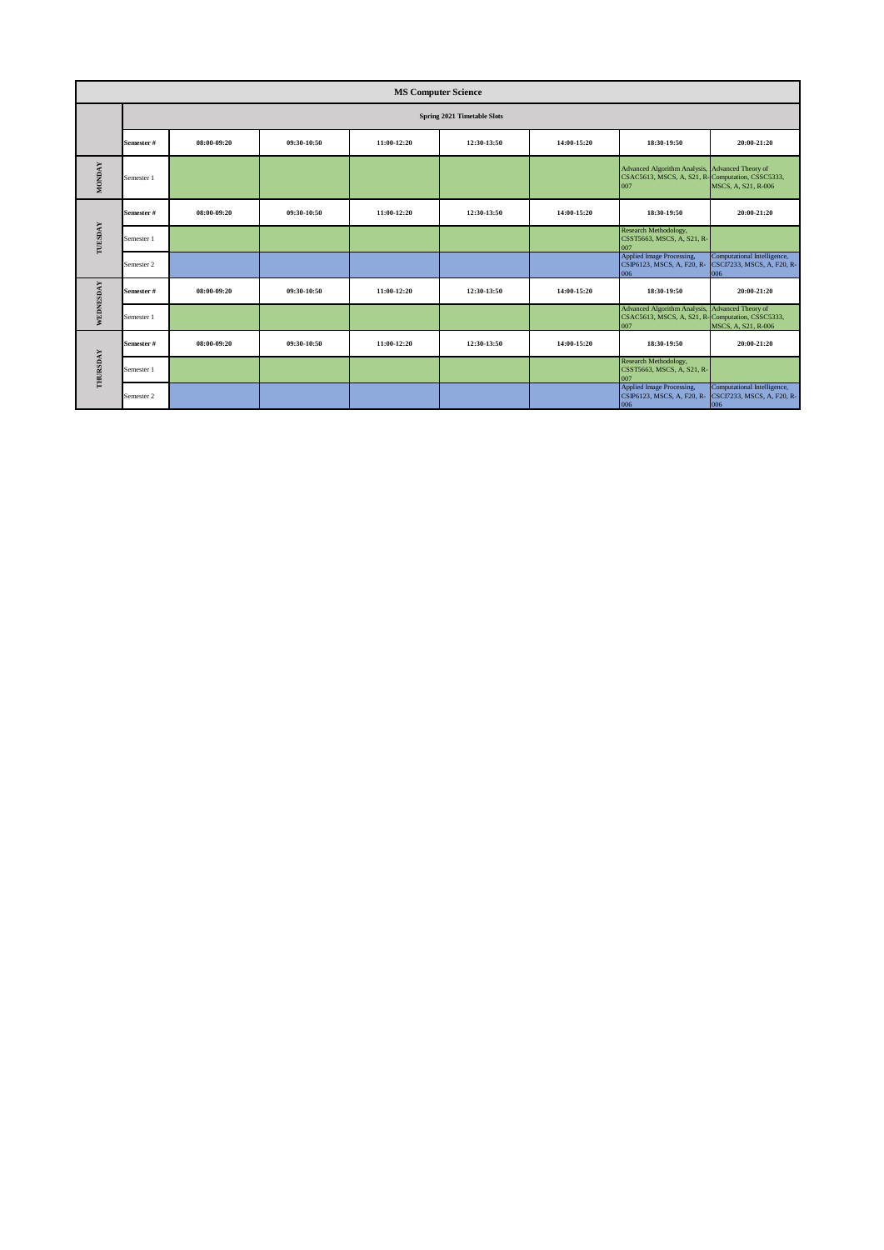|               | <b>MS Computer Science</b> |             |             |             |                             |             |                                                                                                            |                                                                  |  |  |
|---------------|----------------------------|-------------|-------------|-------------|-----------------------------|-------------|------------------------------------------------------------------------------------------------------------|------------------------------------------------------------------|--|--|
|               |                            |             |             |             | Spring 2021 Timetable Slots |             |                                                                                                            |                                                                  |  |  |
|               | Semester #                 | 08:00-09:20 | 09:30-10:50 | 11:00-12:20 | 12:30-13:50                 | 14:00-15:20 | 18:30-19:50                                                                                                | 20:00-21:20                                                      |  |  |
| <b>MONDAY</b> | Semester 1                 |             |             |             |                             |             | Advanced Algorithm Analysis, Advanced Theory of<br>CSAC5613, MSCS, A, S21, R-Computation, CSSC5333,<br>007 | MSCS, A, S21, R-006                                              |  |  |
|               | Semester #                 | 08:00-09:20 | 09:30-10:50 | 11:00-12:20 | 12:30-13:50                 | 14:00-15:20 | 18:30-19:50                                                                                                | 20:00-21:20                                                      |  |  |
| TUESDAY       | Semester 1                 |             |             |             |                             |             | Research Methodology,<br>CSST5663, MSCS, A, S21, R-<br>007                                                 |                                                                  |  |  |
|               | Semester 2                 |             |             |             |                             |             | Applied Image Processing,<br>CSIP6123, MSCS, A, F20, R-<br>006                                             | Computational Intelligence,<br>CSCI7233, MSCS, A, F20, R-<br>006 |  |  |
| WEDNESDAY     | Semester #                 | 08:00-09:20 | 09:30-10:50 | 11:00-12:20 | 12:30-13:50                 | 14:00-15:20 | 18:30-19:50                                                                                                | 20:00-21:20                                                      |  |  |
|               | Semester 1                 |             |             |             |                             |             | <b>Advanced Algorithm Analysis,</b><br>CSAC5613, MSCS, A, S21, R-Computation, CSSC5333,<br>007             | Advanced Theory of<br>MSCS, A, S21, R-006                        |  |  |
|               | Semester #                 | 08:00-09:20 | 09:30-10:50 | 11:00-12:20 | 12:30-13:50                 | 14:00-15:20 | 18:30-19:50                                                                                                | 20:00-21:20                                                      |  |  |
| THURSDAY      | Semester 1                 |             |             |             |                             |             | Research Methodology,<br>CSST5663, MSCS, A, S21, R-<br>007                                                 |                                                                  |  |  |
|               | Semester 2                 |             |             |             |                             |             | Applied Image Processing,<br>CSIP6123, MSCS, A, F20, R-<br>006                                             | Computational Intelligence,<br>CSCI7233, MSCS, A, F20, R-<br>006 |  |  |